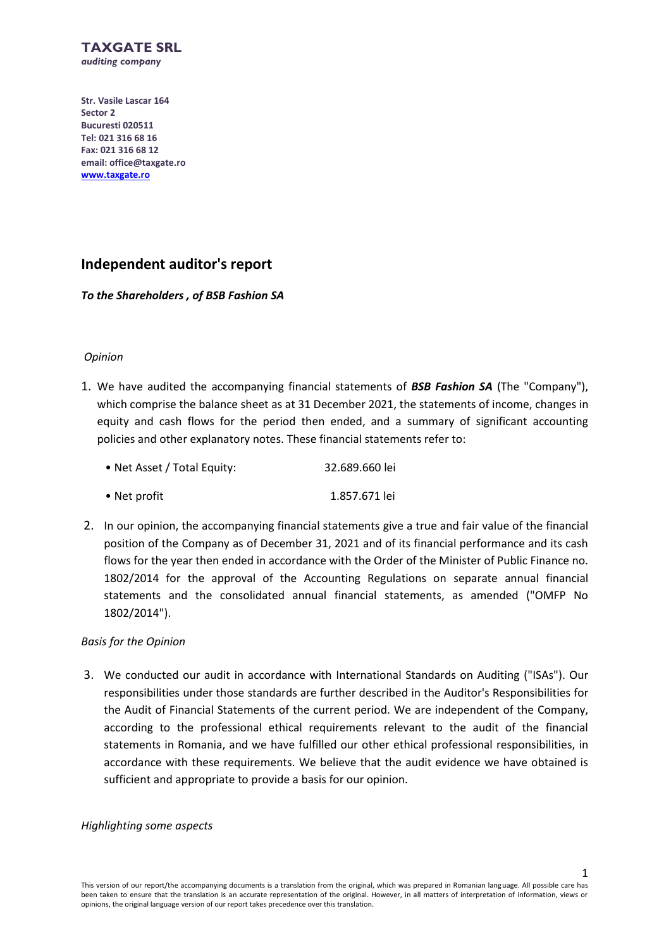

**Str. Vasile Lascar 164 Sector 2 Bucuresti 020511 Tel: 021 316 68 16 Fax: 021 316 68 12 email: office@taxgate.ro [www.taxgate.ro](http://www.taxgate.ro/)**

# **Independent auditor's report**

# *To the Shareholders , of BSB Fashion SA*

# *Opinion*

1. We have audited the accompanying financial statements of *BSB Fashion SA* (The "Company"), which comprise the balance sheet as at 31 December 2021, the statements of income, changes in equity and cash flows for the period then ended, and a summary of significant accounting policies and other explanatory notes. These financial statements refer to:

| • Net Asset / Total Equity: | 32.689.660 lei |
|-----------------------------|----------------|
|                             |                |

- Net profit 1.857.671 lei
- 2. In our opinion, the accompanying financial statements give a true and fair value of the financial position of the Company as of December 31, 2021 and of its financial performance and its cash flows for the year then ended in accordance with the Order of the Minister of Public Finance no. 1802/2014 for the approval of the Accounting Regulations on separate annual financial statements and the consolidated annual financial statements, as amended ("OMFP No 1802/2014").

# *Basis for the Opinion*

3. We conducted our audit in accordance with International Standards on Auditing ("ISAs"). Our responsibilities under those standards are further described in the Auditor's Responsibilities for the Audit of Financial Statements of the current period. We are independent of the Company, according to the professional ethical requirements relevant to the audit of the financial statements in Romania, and we have fulfilled our other ethical professional responsibilities, in accordance with these requirements. We believe that the audit evidence we have obtained is sufficient and appropriate to provide a basis for our opinion.

*Highlighting some aspects* 

1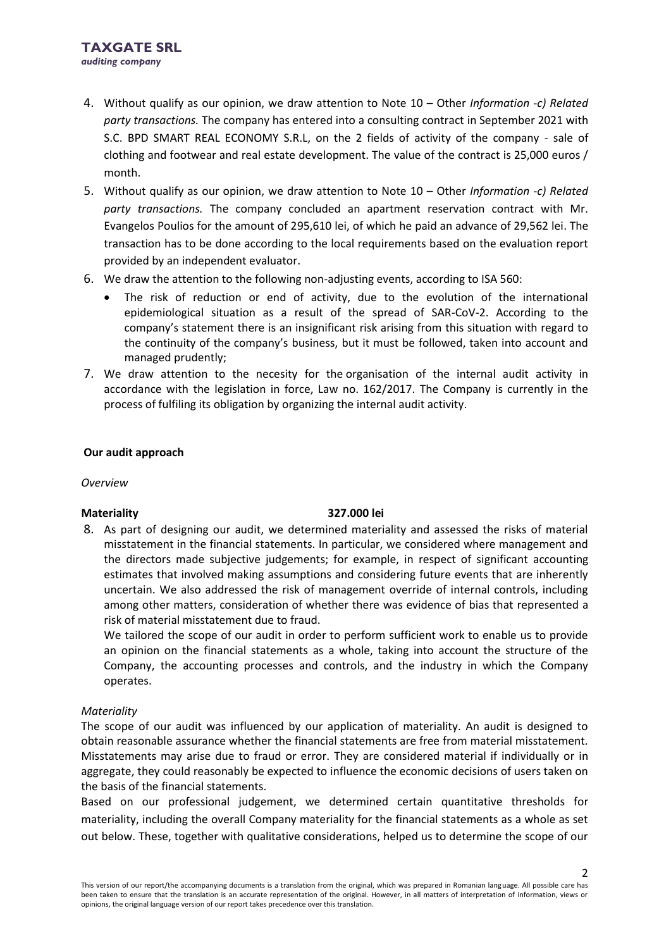- 4. Without qualify as our opinion, we draw attention to Note 10 Other *Information -c) Related party transactions.* The company has entered into a consulting contract in September 2021 with S.C. BPD SMART REAL ECONOMY S.R.L, on the 2 fields of activity of the company - sale of clothing and footwear and real estate development. The value of the contract is 25,000 euros / month.
- 5. Without qualify as our opinion, we draw attention to Note 10 Other *Information -c) Related party transactions.* The company concluded an apartment reservation contract with Mr. Evangelos Poulios for the amount of 295,610 lei, of which he paid an advance of 29,562 lei. The transaction has to be done according to the local requirements based on the evaluation report provided by an independent evaluator.
- 6. We draw the attention to the following non-adjusting events, according to ISA 560:
	- The risk of reduction or end of activity, due to the evolution of the international epidemiological situation as a result of the spread of SAR-CoV-2. According to the company's statement there is an insignificant risk arising from this situation with regard to the continuity of the company's business, but it must be followed, taken into account and managed prudently;
- 7. We draw attention to the necesity for the organisation of the internal audit activity in accordance with the legislation in force, Law no. 162/2017. The Company is currently in the process of fulfiling its obligation by organizing the internal audit activity.

# **Our audit approach**

*Overview*

# **Materiality 327.000 lei**

8. As part of designing our audit, we determined materiality and assessed the risks of material misstatement in the financial statements. In particular, we considered where management and the directors made subjective judgements; for example, in respect of significant accounting estimates that involved making assumptions and considering future events that are inherently uncertain. We also addressed the risk of management override of internal controls, including among other matters, consideration of whether there was evidence of bias that represented a risk of material misstatement due to fraud.

We tailored the scope of our audit in order to perform sufficient work to enable us to provide an opinion on the financial statements as a whole, taking into account the structure of the Company, the accounting processes and controls, and the industry in which the Company operates.

# *Materiality*

The scope of our audit was influenced by our application of materiality. An audit is designed to obtain reasonable assurance whether the financial statements are free from material misstatement. Misstatements may arise due to fraud or error. They are considered material if individually or in aggregate, they could reasonably be expected to influence the economic decisions of users taken on the basis of the financial statements.

Based on our professional judgement, we determined certain quantitative thresholds for materiality, including the overall Company materiality for the financial statements as a whole as set out below. These, together with qualitative considerations, helped us to determine the scope of our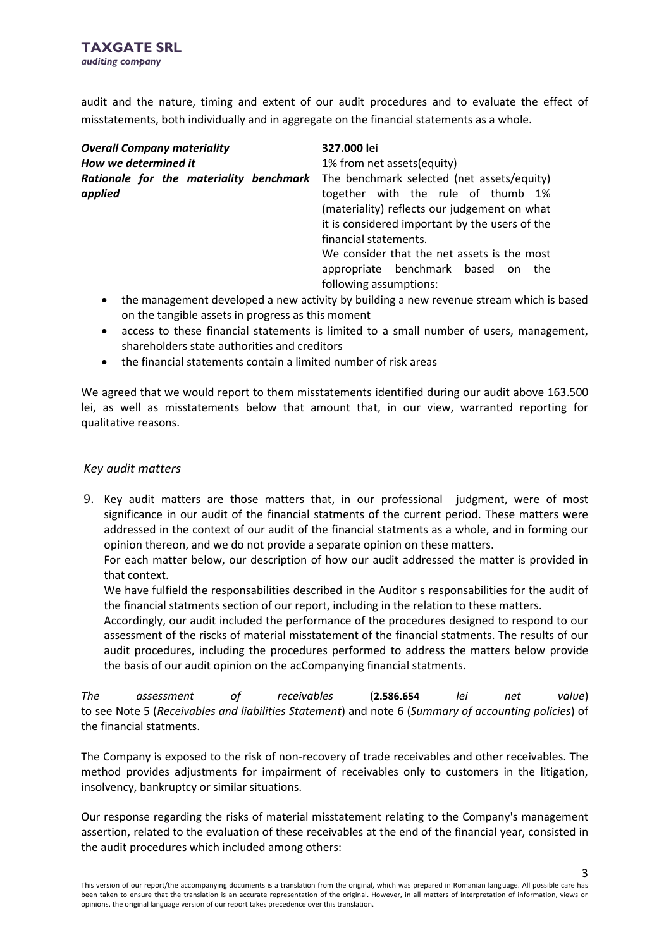audit and the nature, timing and extent of our audit procedures and to evaluate the effect of misstatements, both individually and in aggregate on the financial statements as a whole.

| <b>Overall Company materiality</b><br>How we determined it | 327.000 lei<br>1% from net assets (equity)                                                                                                                                                                                                                                                                                 |  |  |  |
|------------------------------------------------------------|----------------------------------------------------------------------------------------------------------------------------------------------------------------------------------------------------------------------------------------------------------------------------------------------------------------------------|--|--|--|
| Rationale for the materiality benchmark<br>applied         | The benchmark selected (net assets/equity)<br>together with the rule of thumb 1%<br>(materiality) reflects our judgement on what<br>it is considered important by the users of the<br>financial statements.<br>We consider that the net assets is the most<br>appropriate benchmark based on the<br>following assumptions: |  |  |  |
|                                                            |                                                                                                                                                                                                                                                                                                                            |  |  |  |

- the management developed a new activity by building a new revenue stream which is based on the tangible assets in progress as this moment
- access to these financial statements is limited to a small number of users, management, shareholders state authorities and creditors
- the financial statements contain a limited number of risk areas

We agreed that we would report to them misstatements identified during our audit above 163.500 lei, as well as misstatements below that amount that, in our view, warranted reporting for qualitative reasons.

# *Key audit matters*

9. Key audit matters are those matters that, in our professional judgment, were of most significance in our audit of the financial statments of the current period. These matters were addressed in the context of our audit of the financial statments as a whole, and in forming our opinion thereon, and we do not provide a separate opinion on these matters.

For each matter below, our description of how our audit addressed the matter is provided in that context.

We have fulfield the responsabilities described in the Auditor s responsabilities for the audit of the financial statments section of our report, including in the relation to these matters.

Accordingly, our audit included the performance of the procedures designed to respond to our assessment of the riscks of material misstatement of the financial statments. The results of our audit procedures, including the procedures performed to address the matters below provide the basis of our audit opinion on the acCompanying financial statments.

*The assessment of receivables* (**2.586.654** *lei net value*) to see Note 5 (*Receivables and liabilities Statement*) and note 6 (*Summary of accounting policies*) of the financial statments.

The Company is exposed to the risk of non-recovery of trade receivables and other receivables. The method provides adjustments for impairment of receivables only to customers in the litigation, insolvency, bankruptcy or similar situations.

Our response regarding the risks of material misstatement relating to the Company's management assertion, related to the evaluation of these receivables at the end of the financial year, consisted in the audit procedures which included among others:

3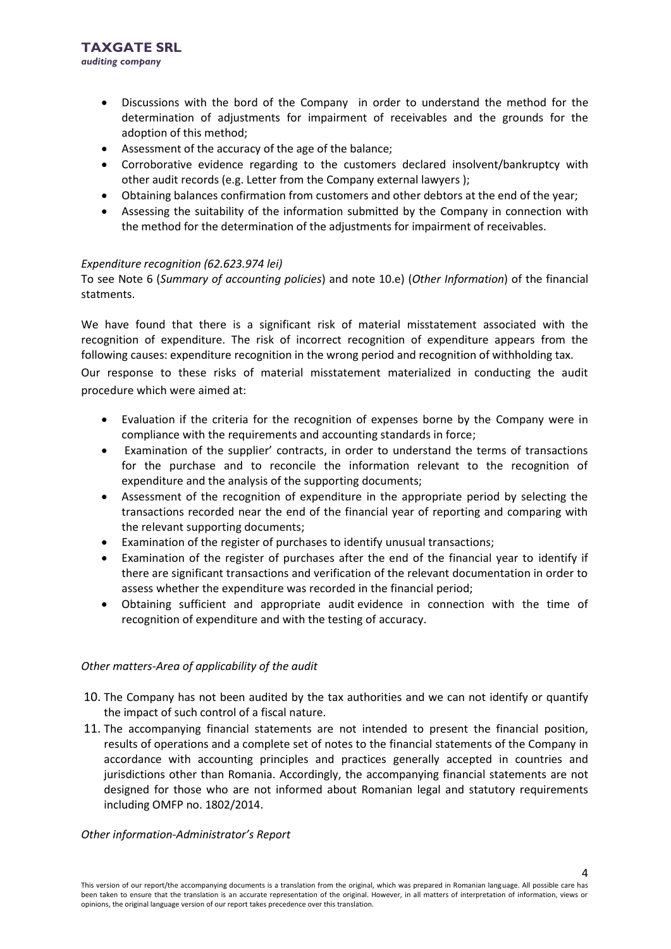- Discussions with the bord of the Company in order to understand the method for the determination of adjustments for impairment of receivables and the grounds for the adoption of this method;
- Assessment of the accuracy of the age of the balance;
- Corroborative evidence regarding to the customers declared insolvent/bankruptcy with other audit records (e.g. Letter from the Company external lawyers );
- Obtaining balances confirmation from customers and other debtors at the end of the year;
- Assessing the suitability of the information submitted by the Company in connection with the method for the determination of the adjustments for impairment of receivables.

# *Expenditure recognition (62.623.974 lei)*

To see Note 6 (*Summary of accounting policies*) and note 10.e) (*Other Information*) of the financial statments.

We have found that there is a significant risk of material misstatement associated with the recognition of expenditure. The risk of incorrect recognition of expenditure appears from the following causes: expenditure recognition in the wrong period and recognition of withholding tax.

Our response to these risks of material misstatement materialized in conducting the audit procedure which were aimed at:

- Evaluation if the criteria for the recognition of expenses borne by the Company were in compliance with the requirements and accounting standards in force;
- Examination of the supplier' contracts, in order to understand the terms of transactions for the purchase and to reconcile the information relevant to the recognition of expenditure and the analysis of the supporting documents;
- Assessment of the recognition of expenditure in the appropriate period by selecting the transactions recorded near the end of the financial year of reporting and comparing with the relevant supporting documents;
- Examination of the register of purchases to identify unusual transactions;
- Examination of the register of purchases after the end of the financial year to identify if there are significant transactions and verification of the relevant documentation in order to assess whether the expenditure was recorded in the financial period;
- Obtaining sufficient and appropriate audit evidence in connection with the time of recognition of expenditure and with the testing of accuracy.

# *Other matters-Area of applicability of the audit*

- 10. The Company has not been audited by the tax authorities and we can not identify or quantify the impact of such control of a fiscal nature.
- 11. The accompanying financial statements are not intended to present the financial position, results of operations and a complete set of notes to the financial statements of the Company in accordance with accounting principles and practices generally accepted in countries and jurisdictions other than Romania. Accordingly, the accompanying financial statements are not designed for those who are not informed about Romanian legal and statutory requirements including OMFP no. 1802/2014.

# *Other information-Administrator's Report*

4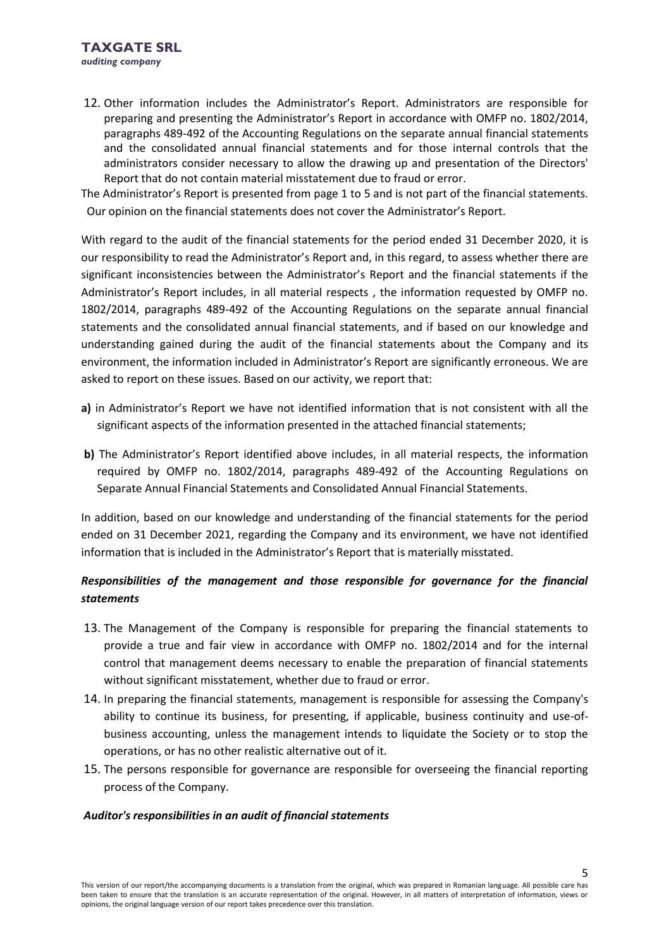12. Other information includes the Administrator's Report. Administrators are responsible for preparing and presenting the Administrator's Report in accordance with OMFP no. 1802/2014, paragraphs 489-492 of the Accounting Regulations on the separate annual financial statements and the consolidated annual financial statements and for those internal controls that the administrators consider necessary to allow the drawing up and presentation of the Directors' Report that do not contain material misstatement due to fraud or error.

The Administrator's Report is presented from page 1 to 5 and is not part of the financial statements. Our opinion on the financial statements does not cover the Administrator's Report.

With regard to the audit of the financial statements for the period ended 31 December 2020, it is our responsibility to read the Administrator's Report and, in this regard, to assess whether there are significant inconsistencies between the Administrator's Report and the financial statements if the Administrator's Report includes, in all material respects , the information requested by OMFP no. 1802/2014, paragraphs 489-492 of the Accounting Regulations on the separate annual financial statements and the consolidated annual financial statements, and if based on our knowledge and understanding gained during the audit of the financial statements about the Company and its environment, the information included in Administrator's Report are significantly erroneous. We are asked to report on these issues. Based on our activity, we report that:

- **a)** in Administrator's Report we have not identified information that is not consistent with all the significant aspects of the information presented in the attached financial statements;
- **b)** The Administrator's Report identified above includes, in all material respects, the information required by OMFP no. 1802/2014, paragraphs 489-492 of the Accounting Regulations on Separate Annual Financial Statements and Consolidated Annual Financial Statements.

In addition, based on our knowledge and understanding of the financial statements for the period ended on 31 December 2021, regarding the Company and its environment, we have not identified information that is included in the Administrator's Report that is materially misstated.

# *Responsibilities of the management and those responsible for governance for the financial statements*

- 13. The Management of the Company is responsible for preparing the financial statements to provide a true and fair view in accordance with OMFP no. 1802/2014 and for the internal control that management deems necessary to enable the preparation of financial statements without significant misstatement, whether due to fraud or error.
- 14. In preparing the financial statements, management is responsible for assessing the Company's ability to continue its business, for presenting, if applicable, business continuity and use-ofbusiness accounting, unless the management intends to liquidate the Society or to stop the operations, or has no other realistic alternative out of it.
- 15. The persons responsible for governance are responsible for overseeing the financial reporting process of the Company.

# *Auditor's responsibilities in an audit of financial statements*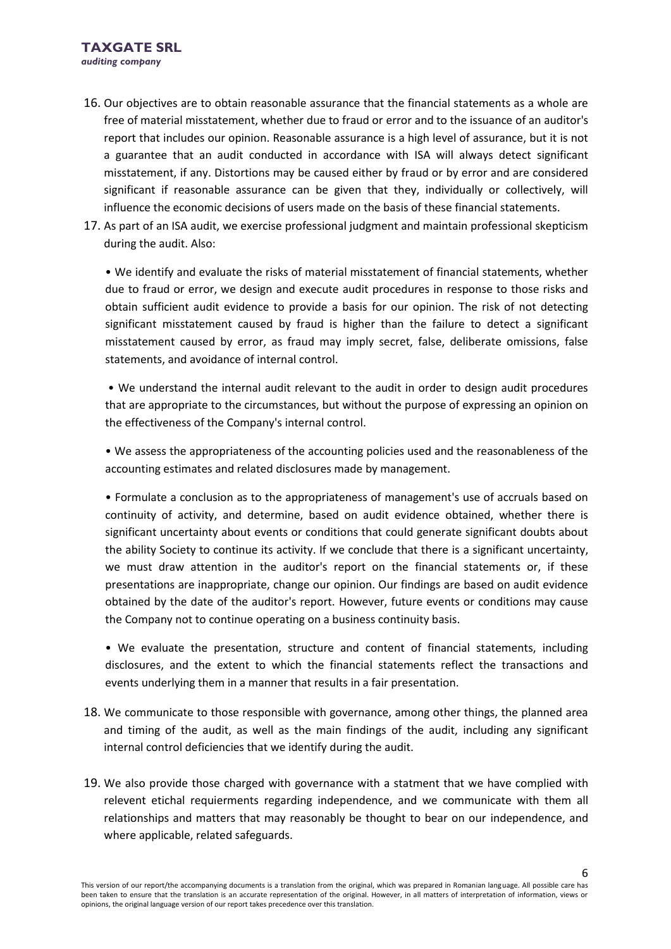- 16. Our objectives are to obtain reasonable assurance that the financial statements as a whole are free of material misstatement, whether due to fraud or error and to the issuance of an auditor's report that includes our opinion. Reasonable assurance is a high level of assurance, but it is not a guarantee that an audit conducted in accordance with ISA will always detect significant misstatement, if any. Distortions may be caused either by fraud or by error and are considered significant if reasonable assurance can be given that they, individually or collectively, will influence the economic decisions of users made on the basis of these financial statements.
- 17. As part of an ISA audit, we exercise professional judgment and maintain professional skepticism during the audit. Also:

• We identify and evaluate the risks of material misstatement of financial statements, whether due to fraud or error, we design and execute audit procedures in response to those risks and obtain sufficient audit evidence to provide a basis for our opinion. The risk of not detecting significant misstatement caused by fraud is higher than the failure to detect a significant misstatement caused by error, as fraud may imply secret, false, deliberate omissions, false statements, and avoidance of internal control.

• We understand the internal audit relevant to the audit in order to design audit procedures that are appropriate to the circumstances, but without the purpose of expressing an opinion on the effectiveness of the Company's internal control.

• We assess the appropriateness of the accounting policies used and the reasonableness of the accounting estimates and related disclosures made by management.

• Formulate a conclusion as to the appropriateness of management's use of accruals based on continuity of activity, and determine, based on audit evidence obtained, whether there is significant uncertainty about events or conditions that could generate significant doubts about the ability Society to continue its activity. If we conclude that there is a significant uncertainty, we must draw attention in the auditor's report on the financial statements or, if these presentations are inappropriate, change our opinion. Our findings are based on audit evidence obtained by the date of the auditor's report. However, future events or conditions may cause the Company not to continue operating on a business continuity basis.

• We evaluate the presentation, structure and content of financial statements, including disclosures, and the extent to which the financial statements reflect the transactions and events underlying them in a manner that results in a fair presentation.

- 18. We communicate to those responsible with governance, among other things, the planned area and timing of the audit, as well as the main findings of the audit, including any significant internal control deficiencies that we identify during the audit.
- 19. We also provide those charged with governance with a statment that we have complied with relevent etichal requierments regarding independence, and we communicate with them all relationships and matters that may reasonably be thought to bear on our independence, and where applicable, related safeguards.

6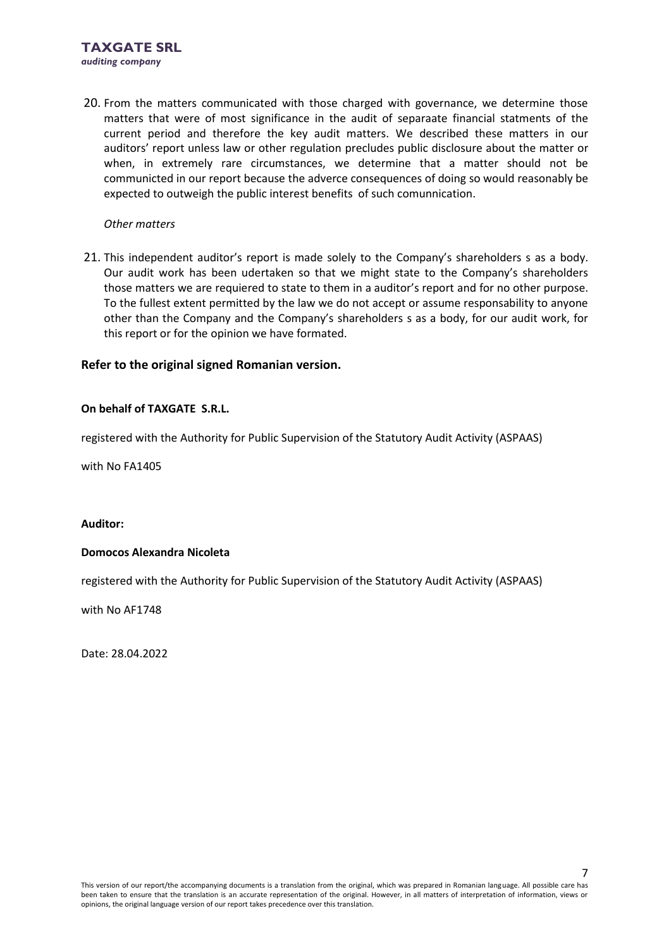20. From the matters communicated with those charged with governance, we determine those matters that were of most significance in the audit of separaate financial statments of the current period and therefore the key audit matters. We described these matters in our auditors' report unless law or other regulation precludes public disclosure about the matter or when, in extremely rare circumstances, we determine that a matter should not be communicted in our report because the adverce consequences of doing so would reasonably be expected to outweigh the public interest benefits of such comunnication.

# *Other matters*

21. This independent auditor's report is made solely to the Company's shareholders s as a body. Our audit work has been udertaken so that we might state to the Company's shareholders those matters we are requiered to state to them in a auditor's report and for no other purpose. To the fullest extent permitted by the law we do not accept or assume responsability to anyone other than the Company and the Company's shareholders s as a body, for our audit work, for this report or for the opinion we have formated.

# **Refer to the original signed Romanian version.**

# **On behalf of TAXGATE S.R.L.**

registered with the Authority for Public Supervision of the Statutory Audit Activity (ASPAAS)

with No FA1405

# **Auditor:**

# **Domocos Alexandra Nicoleta**

registered with the Authority for Public Supervision of the Statutory Audit Activity (ASPAAS)

with No AF1748

Date: 28.04.2022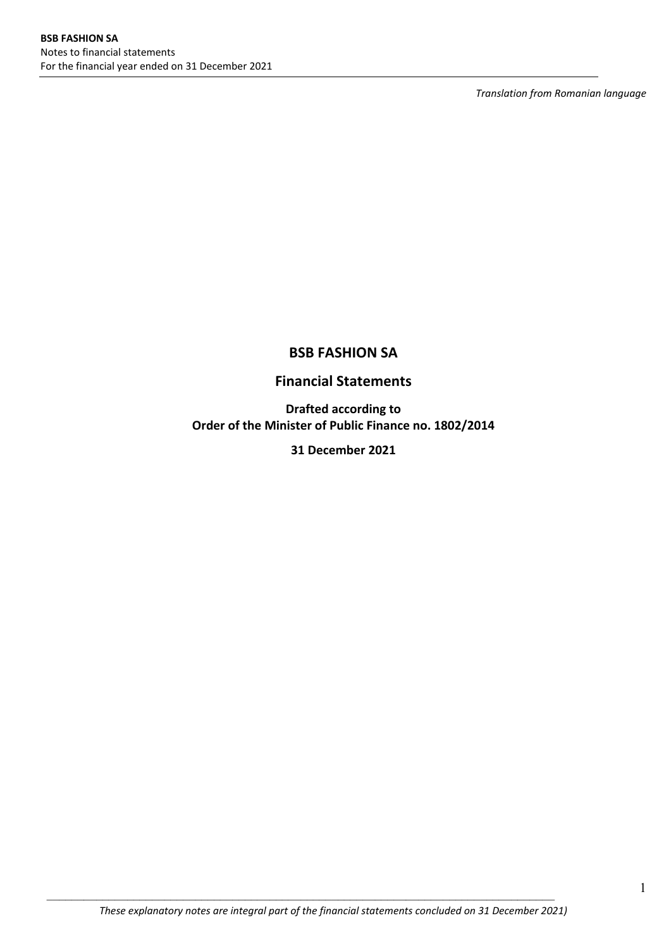*Translation from Romanian language*

# **BSB FASHION SA**

# **Financial Statements**

**Drafted according to Order of the Minister of Public Finance no. 1802/2014** 

**31 December 2021**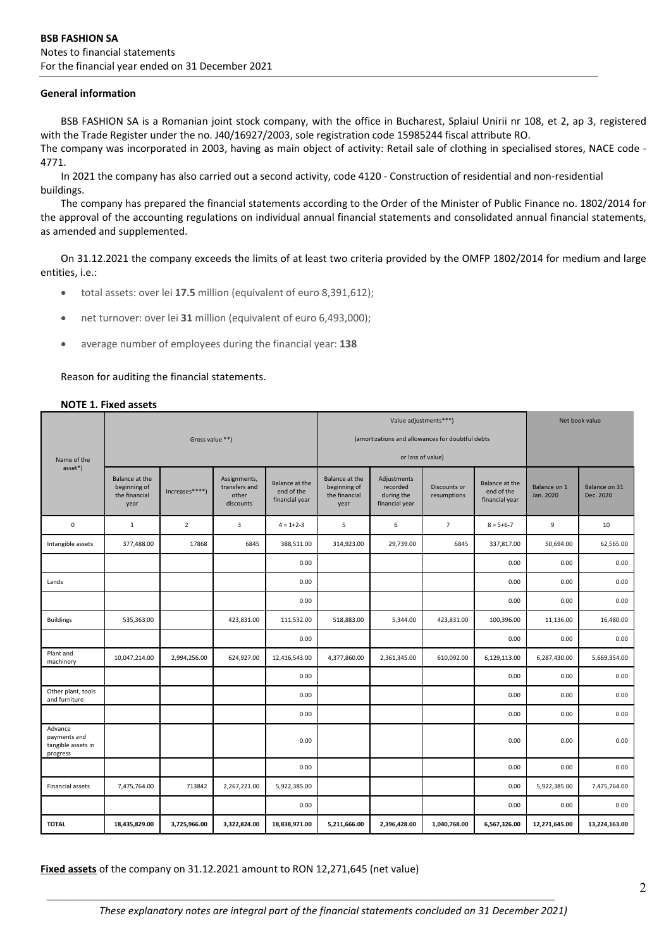#### **General information**

BSB FASHION SA is a Romanian joint stock company, with the office in Bucharest, Splaiul Unirii nr 108, et 2, ap 3, registered with the Trade Register under the no. J40/16927/2003, sole registration code 15985244 fiscal attribute RO.

The company was incorporated in 2003, having as main object of activity: Retail sale of clothing in specialised stores, NACE code -4771.

In 2021 the company has also carried out a second activity, code 4120 - Construction of residential and non-residential buildings.

The company has prepared the financial statements according to the Order of the Minister of Public Finance no. 1802/2014 for the approval of the accounting regulations on individual annual financial statements and consolidated annual financial statements, as amended and supplemented.

On 31.12.2021 the company exceeds the limits of at least two criteria provided by the OMFP 1802/2014 for medium and large entities, i.e.:

- total assets: over lei **17.5** million (equivalent of euro 8,391,612);
- net turnover: over lei **31** million (equivalent of euro 6,493,000);
- average number of employees during the financial year: **138**

Reason for auditing the financial statements.

#### **NOTE 1. Fixed assets**

|                                                           |                                                         | Value adjustments***)<br>Net book value |                                                     |                                                |                                                         |                                                         |                             |                                                |                           |                            |
|-----------------------------------------------------------|---------------------------------------------------------|-----------------------------------------|-----------------------------------------------------|------------------------------------------------|---------------------------------------------------------|---------------------------------------------------------|-----------------------------|------------------------------------------------|---------------------------|----------------------------|
|                                                           |                                                         | Gross value **)                         |                                                     |                                                |                                                         | (amortizations and allowances for doubtful debts        |                             |                                                |                           |                            |
| Name of the                                               |                                                         |                                         |                                                     |                                                |                                                         | or loss of value)                                       |                             |                                                |                           |                            |
| asset*)                                                   | Balance at the<br>beginning of<br>the financial<br>year | Increases****)                          | Assignments,<br>transfers and<br>other<br>discounts | Balance at the<br>end of the<br>financial year | Balance at the<br>beginning of<br>the financial<br>year | Adjustments<br>recorded<br>during the<br>financial year | Discounts or<br>resumptions | Balance at the<br>end of the<br>financial year | Balance on 1<br>Jan. 2020 | Balance on 31<br>Dec. 2020 |
| $\mathbf 0$                                               | $\mathbf{1}$                                            | $\overline{2}$                          | 3                                                   | $4 = 1 + 2 - 3$                                | 5                                                       | 6                                                       | $\overline{7}$              | $8 = 5 + 6 - 7$                                | 9                         | 10                         |
| Intangible assets                                         | 377,488.00                                              | 17868                                   | 6845                                                | 388,511.00                                     | 314,923.00                                              | 29,739.00                                               | 6845                        | 337,817.00                                     | 50,694.00                 | 62,565.00                  |
|                                                           |                                                         |                                         |                                                     | 0.00                                           |                                                         |                                                         |                             | 0.00                                           | 0.00                      | 0.00                       |
| Lands                                                     |                                                         |                                         |                                                     | 0.00                                           |                                                         |                                                         |                             | 0.00                                           | 0.00                      | 0.00                       |
|                                                           |                                                         |                                         |                                                     | 0.00                                           |                                                         |                                                         |                             | 0.00                                           | 0.00                      | 0.00                       |
| <b>Buildings</b>                                          | 535,363.00                                              |                                         | 423,831.00                                          | 111,532.00                                     | 518,883.00                                              | 5,344.00                                                | 423,831.00                  | 100,396.00                                     | 11,136.00                 | 16,480.00                  |
|                                                           |                                                         |                                         |                                                     | 0.00                                           |                                                         |                                                         |                             | 0.00                                           | 0.00                      | 0.00                       |
| Plant and<br>machinery                                    | 10,047,214.00                                           | 2,994,256.00                            | 624,927.00                                          | 12,416,543.00                                  | 4,377,860.00                                            | 2,361,345.00                                            | 610,092.00                  | 6,129,113.00                                   | 6,287,430.00              | 5,669,354.00               |
|                                                           |                                                         |                                         |                                                     | 0.00                                           |                                                         |                                                         |                             | 0.00                                           | 0.00                      | 0.00                       |
| Other plant, tools<br>and furniture                       |                                                         |                                         |                                                     | 0.00                                           |                                                         |                                                         |                             | 0.00                                           | 0.00                      | 0.00                       |
|                                                           |                                                         |                                         |                                                     | 0.00                                           |                                                         |                                                         |                             | 0.00                                           | 0.00                      | 0.00                       |
| Advance<br>payments and<br>tangible assets in<br>progress |                                                         |                                         |                                                     | 0.00                                           |                                                         |                                                         |                             | 0.00                                           | 0.00                      | 0.00                       |
|                                                           |                                                         |                                         |                                                     | 0.00                                           |                                                         |                                                         |                             | 0.00                                           | 0.00                      | 0.00                       |
| Financial assets                                          | 7,475,764.00                                            | 713842                                  | 2,267,221.00                                        | 5,922,385.00                                   |                                                         |                                                         |                             | 0.00                                           | 5,922,385.00              | 7,475,764.00               |
|                                                           |                                                         |                                         |                                                     | 0.00                                           |                                                         |                                                         |                             | 0.00                                           | 0.00                      | 0.00                       |
| <b>TOTAL</b>                                              | 18,435,829.00                                           | 3,725,966.00                            | 3,322,824.00                                        | 18,838,971.00                                  | 5,211,666.00                                            | 2,396,428.00                                            | 1,040,768.00                | 6,567,326.00                                   | 12,271,645.00             | 13,224,163.00              |

**Fixed assets** of the company on 31.12.2021 amount to RON 12,271,645 (net value)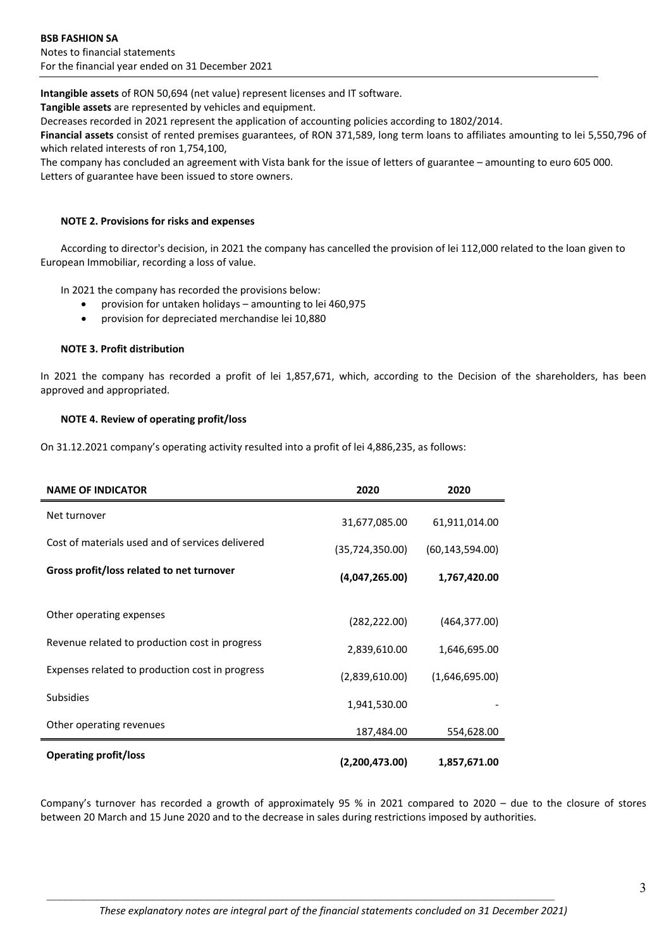**Intangible assets** of RON 50,694 (net value) represent licenses and IT software.

**Tangible assets** are represented by vehicles and equipment.

Decreases recorded in 2021 represent the application of accounting policies according to 1802/2014.

**Financial assets** consist of rented premises guarantees, of RON 371,589, long term loans to affiliates amounting to lei 5,550,796 of which related interests of ron 1,754,100,

The company has concluded an agreement with Vista bank for the issue of letters of guarantee – amounting to euro 605 000. Letters of guarantee have been issued to store owners.

# **NOTE 2. Provisions for risks and expenses**

According to director's decision, in 2021 the company has cancelled the provision of lei 112,000 related to the loan given to European Immobiliar, recording a loss of value.

In 2021 the company has recorded the provisions below:

- provision for untaken holidays amounting to lei 460,975
- provision for depreciated merchandise lei 10,880

### **NOTE 3. Profit distribution**

In 2021 the company has recorded a profit of lei 1,857,671, which, according to the Decision of the shareholders, has been approved and appropriated.

# **NOTE 4. Review of operating profit/loss**

On 31.12.2021 company's operating activity resulted into a profit of lei 4,886,235, as follows:

| <b>NAME OF INDICATOR</b>                         | 2020              | 2020              |
|--------------------------------------------------|-------------------|-------------------|
| Net turnover                                     | 31,677,085.00     | 61,911,014.00     |
| Cost of materials used and of services delivered | (35, 724, 350.00) | (60, 143, 594.00) |
| Gross profit/loss related to net turnover        | (4,047,265.00)    | 1,767,420.00      |
|                                                  |                   |                   |
| Other operating expenses                         | (282, 222.00)     | (464, 377.00)     |
| Revenue related to production cost in progress   | 2,839,610.00      | 1,646,695.00      |
| Expenses related to production cost in progress  | (2,839,610.00)    | (1,646,695.00)    |
| <b>Subsidies</b>                                 | 1,941,530.00      |                   |
| Other operating revenues                         | 187,484.00        | 554,628.00        |
| <b>Operating profit/loss</b>                     | (2,200,473.00)    | 1,857,671.00      |

Company's turnover has recorded a growth of approximately 95 % in 2021 compared to 2020 – due to the closure of stores between 20 March and 15 June 2020 and to the decrease in sales during restrictions imposed by authorities.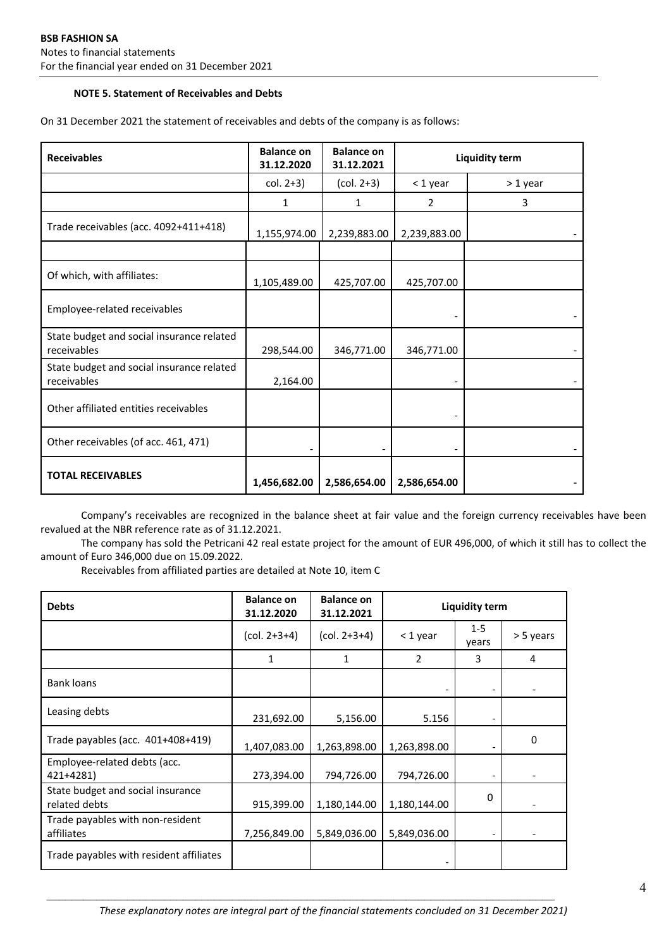# **NOTE 5. Statement of Receivables and Debts**

| <b>Receivables</b>                                       | <b>Balance on</b><br>31.12.2020 | <b>Balance on</b><br>31.12.2021 | <b>Liquidity term</b> |          |  |
|----------------------------------------------------------|---------------------------------|---------------------------------|-----------------------|----------|--|
|                                                          | $col. 2+3)$                     | $(col. 2+3)$                    | < 1 year              | > 1 year |  |
|                                                          | 1                               | 1                               | 2                     | 3        |  |
| Trade receivables (acc. 4092+411+418)                    | 1,155,974.00                    | 2,239,883.00                    | 2,239,883.00          |          |  |
|                                                          |                                 |                                 |                       |          |  |
| Of which, with affiliates:                               | 1,105,489.00                    | 425,707.00                      | 425,707.00            |          |  |
| Employee-related receivables                             |                                 |                                 |                       |          |  |
| State budget and social insurance related<br>receivables | 298,544.00                      | 346,771.00                      | 346,771.00            |          |  |
| State budget and social insurance related<br>receivables | 2,164.00                        |                                 |                       |          |  |
| Other affiliated entities receivables                    |                                 |                                 |                       |          |  |
| Other receivables (of acc. 461, 471)                     |                                 |                                 |                       |          |  |
| <b>TOTAL RECEIVABLES</b>                                 | 1,456,682.00                    | 2,586,654.00                    | 2,586,654.00          |          |  |

On 31 December 2021 the statement of receivables and debts of the company is as follows:

Company's receivables are recognized in the balance sheet at fair value and the foreign currency receivables have been revalued at the NBR reference rate as of 31.12.2021.

The company has sold the Petricani 42 real estate project for the amount of EUR 496,000, of which it still has to collect the amount of Euro 346,000 due on 15.09.2022.

Receivables from affiliated parties are detailed at Note 10, item C

| <b>Debts</b>                                       | <b>Balance on</b><br>31.12.2020   | <b>Balance on</b><br>31.12.2021 | <b>Liquidity term</b> |                  |           |
|----------------------------------------------------|-----------------------------------|---------------------------------|-----------------------|------------------|-----------|
|                                                    | $\left(\text{col. } 2+3+4\right)$ | $(col. 2+3+4)$                  | < 1 year              | $1 - 5$<br>years | > 5 years |
|                                                    | 1                                 | 1                               | 2                     | 3                | 4         |
| Bank loans                                         |                                   |                                 |                       |                  |           |
| Leasing debts                                      | 231,692.00                        | 5,156.00                        | 5.156                 |                  |           |
| Trade payables (acc. 401+408+419)                  | 1,407,083.00                      | 1,263,898.00                    | 1,263,898.00          |                  | 0         |
| Employee-related debts (acc.<br>421+4281)          | 273,394.00                        | 794,726.00                      | 794,726.00            |                  |           |
| State budget and social insurance<br>related debts | 915,399.00                        | 1,180,144.00                    | 1,180,144.00          | 0                |           |
| Trade payables with non-resident<br>affiliates     | 7,256,849.00                      | 5,849,036.00                    | 5,849,036.00          |                  |           |
| Trade payables with resident affiliates            |                                   |                                 |                       |                  |           |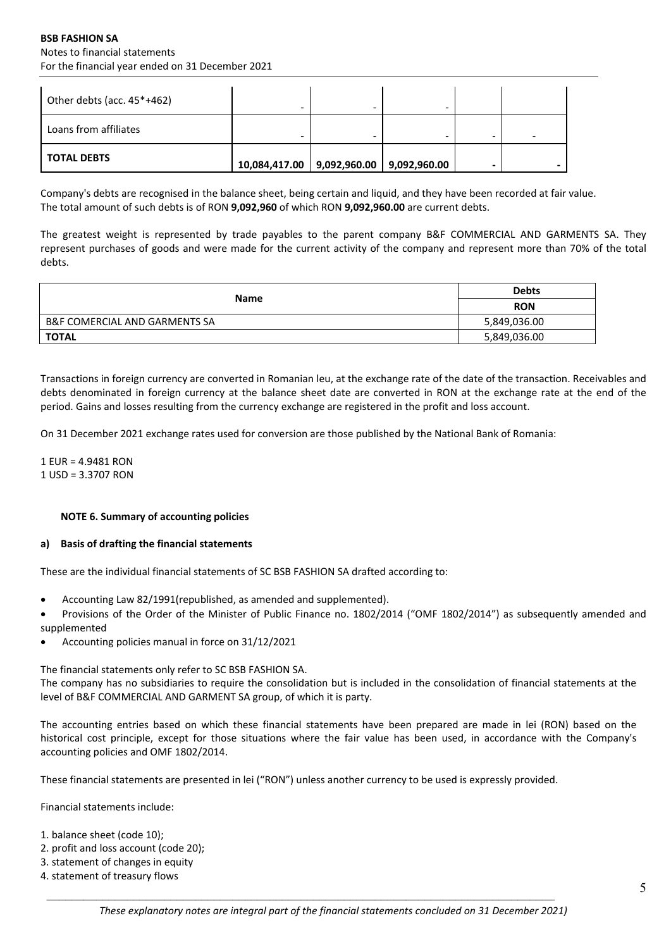# **BSB FASHION SA** Notes to financial statements For the financial year ended on 31 December 2021

| Other debts (acc. $45*+462$ ) |                                             |   |  |   |
|-------------------------------|---------------------------------------------|---|--|---|
| Loans from affiliates         |                                             | - |  | - |
| I TOTAL DEBTS                 | 10,084,417.00   9,092,960.00   9,092,960.00 |   |  |   |

Company's debts are recognised in the balance sheet, being certain and liquid, and they have been recorded at fair value. The total amount of such debts is of RON **9,092,960** of which RON **9,092,960.00** are current debts.

The greatest weight is represented by trade payables to the parent company B&F COMMERCIAL AND GARMENTS SA. They represent purchases of goods and were made for the current activity of the company and represent more than 70% of the total debts.

|                                          | <b>Debts</b> |
|------------------------------------------|--------------|
| <b>Name</b>                              | <b>RON</b>   |
| <b>B&amp;F COMERCIAL AND GARMENTS SA</b> | 5,849,036.00 |
| <b>TOTAL</b>                             | 5,849,036.00 |

Transactions in foreign currency are converted in Romanian leu, at the exchange rate of the date of the transaction. Receivables and debts denominated in foreign currency at the balance sheet date are converted in RON at the exchange rate at the end of the period. Gains and losses resulting from the currency exchange are registered in the profit and loss account.

On 31 December 2021 exchange rates used for conversion are those published by the National Bank of Romania:

1 EUR = 4.9481 RON 1 USD = 3.3707 RON

### **NOTE 6. Summary of accounting policies**

#### **a) Basis of drafting the financial statements**

These are the individual financial statements of SC BSB FASHION SA drafted according to:

- Accounting Law 82/1991(republished, as amended and supplemented).
- Provisions of the Order of the Minister of Public Finance no. 1802/2014 ("OMF 1802/2014") as subsequently amended and supplemented
- Accounting policies manual in force on 31/12/2021

The financial statements only refer to SC BSB FASHION SA.

The company has no subsidiaries to require the consolidation but is included in the consolidation of financial statements at the level of B&F COMMERCIAL AND GARMENT SA group, of which it is party.

The accounting entries based on which these financial statements have been prepared are made in lei (RON) based on the historical cost principle, except for those situations where the fair value has been used, in accordance with the Company's accounting policies and OMF 1802/2014.

These financial statements are presented in lei ("RON") unless another currency to be used is expressly provided.

Financial statements include:

- 1. balance sheet (code 10);
- 2. profit and loss account (code 20);
- 3. statement of changes in equity
- 4. statement of treasury flows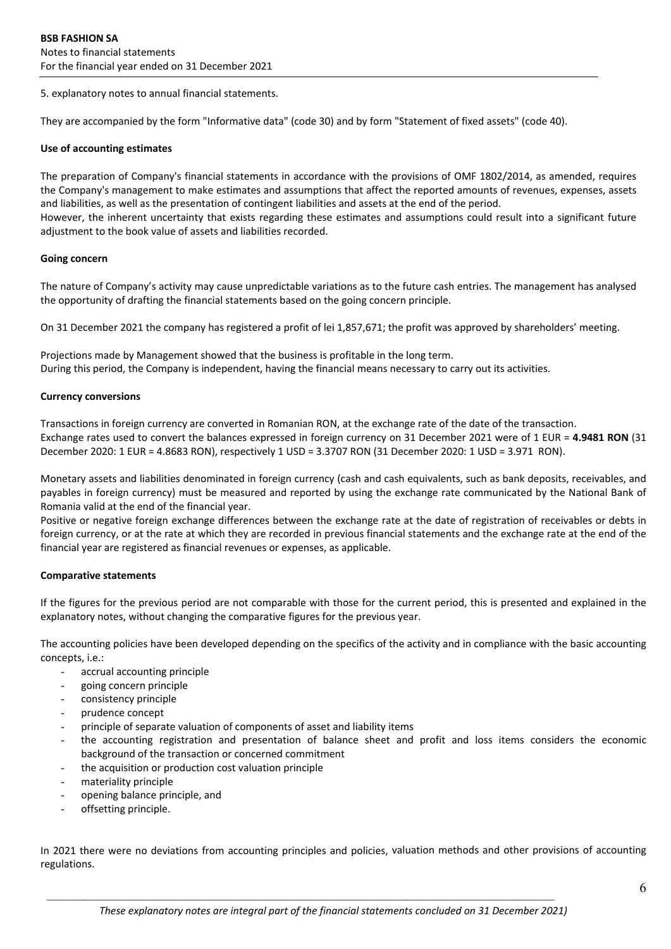5. explanatory notes to annual financial statements.

They are accompanied by the form "Informative data" (code 30) and by form "Statement of fixed assets" (code 40).

### **Use of accounting estimates**

The preparation of Company's financial statements in accordance with the provisions of OMF 1802/2014, as amended, requires the Company's management to make estimates and assumptions that affect the reported amounts of revenues, expenses, assets and liabilities, as well as the presentation of contingent liabilities and assets at the end of the period. However, the inherent uncertainty that exists regarding these estimates and assumptions could result into a significant future adjustment to the book value of assets and liabilities recorded.

#### **Going concern**

The nature of Company's activity may cause unpredictable variations as to the future cash entries. The management has analysed the opportunity of drafting the financial statements based on the going concern principle.

On 31 December 2021 the company has registered a profit of lei 1,857,671; the profit was approved by shareholders' meeting.

Projections made by Management showed that the business is profitable in the long term. During this period, the Company is independent, having the financial means necessary to carry out its activities.

#### **Currency conversions**

Transactions in foreign currency are converted in Romanian RON, at the exchange rate of the date of the transaction. Exchange rates used to convert the balances expressed in foreign currency on 31 December 2021 were of 1 EUR = **4.9481 RON** (31 December 2020: 1 EUR = 4.8683 RON), respectively 1 USD = 3.3707 RON (31 December 2020: 1 USD = 3.971RON).

Monetary assets and liabilities denominated in foreign currency (cash and cash equivalents, such as bank deposits, receivables, and payables in foreign currency) must be measured and reported by using the exchange rate communicated by the National Bank of Romania valid at the end of the financial year.

Positive or negative foreign exchange differences between the exchange rate at the date of registration of receivables or debts in foreign currency, or at the rate at which they are recorded in previous financial statements and the exchange rate at the end of the financial year are registered as financial revenues or expenses, as applicable.

### **Comparative statements**

If the figures for the previous period are not comparable with those for the current period, this is presented and explained in the explanatory notes, without changing the comparative figures for the previous year.

The accounting policies have been developed depending on the specifics of the activity and in compliance with the basic accounting concepts, i.e.:

- accrual accounting principle
- going concern principle
- consistency principle
- prudence concept
- principle of separate valuation of components of asset and liability items
- the accounting registration and presentation of balance sheet and profit and loss items considers the economic background of the transaction or concerned commitment
- the acquisition or production cost valuation principle
- materiality principle
- opening balance principle, and
- offsetting principle.

In 2021 there were no deviations from accounting principles and policies, valuation methods and other provisions of accounting regulations.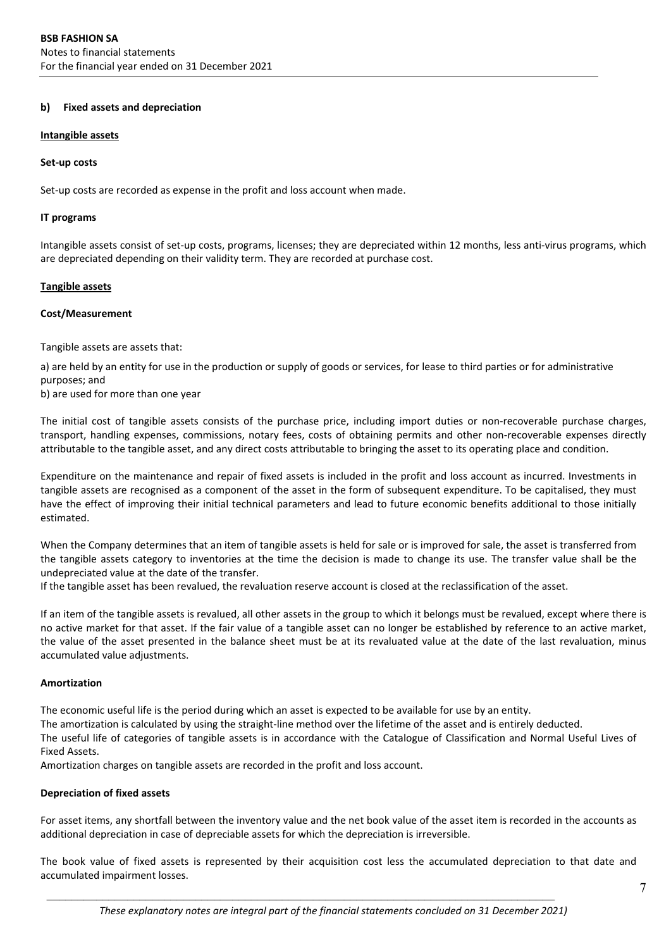#### **b) Fixed assets and depreciation**

#### **Intangible assets**

#### **Set‐up costs**

Set-up costs are recorded as expense in the profit and loss account when made.

#### **IT programs**

Intangible assets consist of set-up costs, programs, licenses; they are depreciated within 12 months, less anti-virus programs, which are depreciated depending on their validity term. They are recorded at purchase cost.

#### **Tangible assets**

#### **Cost/Measurement**

Tangible assets are assets that:

a) are held by an entity for use in the production or supply of goods or services, for lease to third parties or for administrative purposes; and

b) are used for more than one year

The initial cost of tangible assets consists of the purchase price, including import duties or non-recoverable purchase charges, transport, handling expenses, commissions, notary fees, costs of obtaining permits and other non‐recoverable expenses directly attributable to the tangible asset, and any direct costs attributable to bringing the asset to its operating place and condition.

Expenditure on the maintenance and repair of fixed assets is included in the profit and loss account as incurred. Investments in tangible assets are recognised as a component of the asset in the form of subsequent expenditure. To be capitalised, they must have the effect of improving their initial technical parameters and lead to future economic benefits additional to those initially estimated.

When the Company determines that an item of tangible assets is held for sale or is improved for sale, the asset is transferred from the tangible assets category to inventories at the time the decision is made to change its use. The transfer value shall be the undepreciated value at the date of the transfer.

If the tangible asset has been revalued, the revaluation reserve account is closed at the reclassification of the asset.

If an item of the tangible assets is revalued, all other assets in the group to which it belongs must be revalued, except where there is no active market for that asset. If the fair value of a tangible asset can no longer be established by reference to an active market, the value of the asset presented in the balance sheet must be at its revaluated value at the date of the last revaluation, minus accumulated value adjustments.

### **Amortization**

The economic useful life is the period during which an asset is expected to be available for use by an entity.

The amortization is calculated by using the straight‐line method over the lifetime of the asset and is entirely deducted.

The useful life of categories of tangible assets is in accordance with the Catalogue of Classification and Normal Useful Lives of Fixed Assets.

Amortization charges on tangible assets are recorded in the profit and loss account.

### **Depreciation of fixed assets**

For asset items, any shortfall between the inventory value and the net book value of the asset item is recorded in the accounts as additional depreciation in case of depreciable assets for which the depreciation is irreversible.

The book value of fixed assets is represented by their acquisition cost less the accumulated depreciation to that date and accumulated impairment losses.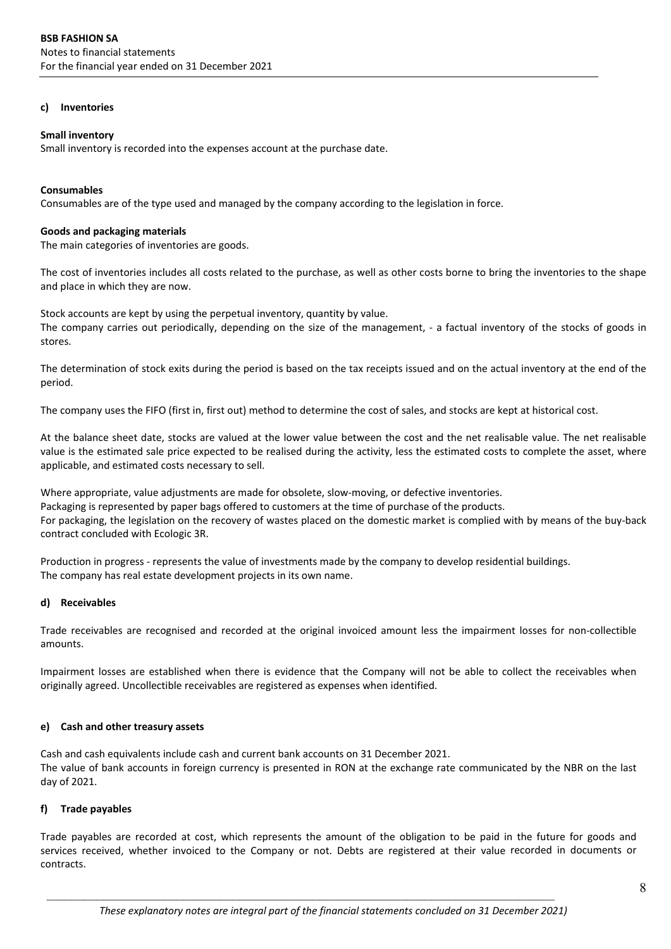#### **c) Inventories**

#### **Small inventory**

Small inventory is recorded into the expenses account at the purchase date.

#### **Consumables**

Consumables are of the type used and managed by the company according to the legislation in force.

#### **Goods and packaging materials**

The main categories of inventories are goods.

The cost of inventories includes all costs related to the purchase, as well as other costs borne to bring the inventories to the shape and place in which they are now.

Stock accounts are kept by using the perpetual inventory, quantity by value. The company carries out periodically, depending on the size of the management, ‐ a factual inventory of the stocks of goods in stores.

The determination of stock exits during the period is based on the tax receipts issued and on the actual inventory at the end of the period.

The company uses the FIFO (first in, first out) method to determine the cost of sales, and stocks are kept at historical cost.

At the balance sheet date, stocks are valued at the lower value between the cost and the net realisable value. The net realisable value is the estimated sale price expected to be realised during the activity, less the estimated costs to complete the asset, where applicable, and estimated costs necessary to sell.

Where appropriate, value adjustments are made for obsolete, slow-moving, or defective inventories. Packaging is represented by paper bags offered to customers at the time of purchase of the products. For packaging, the legislation on the recovery of wastes placed on the domestic market is complied with by means of the buy-back contract concluded with Ecologic 3R.

Production in progress ‐ represents the value of investments made by the company to develop residential buildings. The company has real estate development projects in its own name.

### **d) Receivables**

Trade receivables are recognised and recorded at the original invoiced amount less the impairment losses for non‐collectible amounts.

Impairment losses are established when there is evidence that the Company will not be able to collect the receivables when originally agreed. Uncollectible receivables are registered as expenses when identified.

### **e) Cash and other treasury assets**

Cash and cash equivalents include cash and current bank accounts on 31 December 2021. The value of bank accounts in foreign currency is presented in RON at the exchange rate communicated by the NBR on the last day of 2021.

### **f) Trade payables**

Trade payables are recorded at cost, which represents the amount of the obligation to be paid in the future for goods and services received, whether invoiced to the Company or not. Debts are registered at their value recorded in documents or contracts.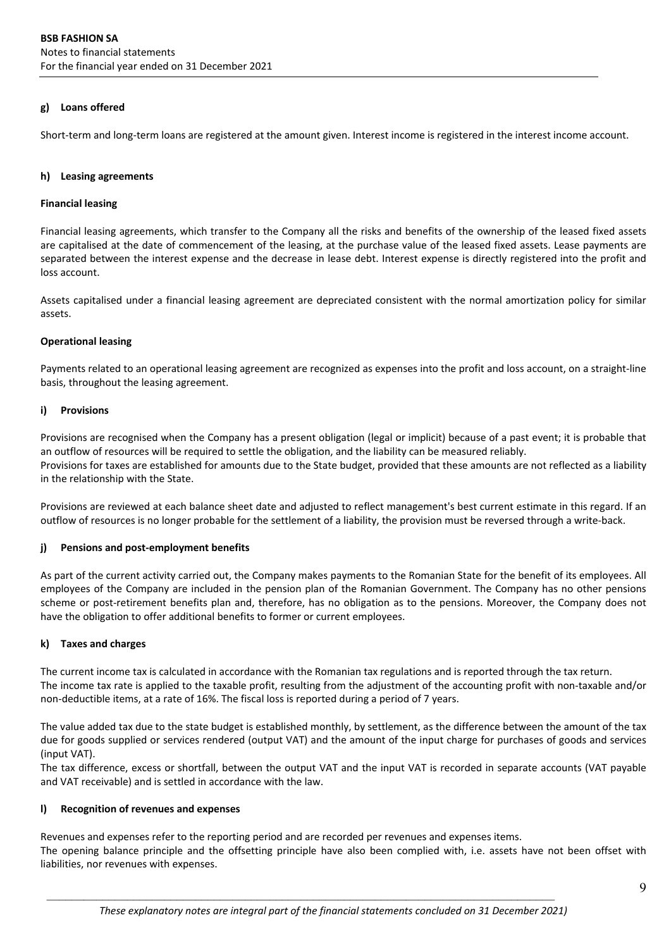## **g) Loans offered**

Short-term and long-term loans are registered at the amount given. Interest income is registered in the interest income account.

# **h) Leasing agreements**

# **Financial leasing**

Financial leasing agreements, which transfer to the Company all the risks and benefits of the ownership of the leased fixed assets are capitalised at the date of commencement of the leasing, at the purchase value of the leased fixed assets. Lease payments are separated between the interest expense and the decrease in lease debt. Interest expense is directly registered into the profit and loss account.

Assets capitalised under a financial leasing agreement are depreciated consistent with the normal amortization policy for similar assets.

# **Operational leasing**

Payments related to an operational leasing agreement are recognized as expenses into the profit and loss account, on a straight‐line basis, throughout the leasing agreement.

# **i) Provisions**

Provisions are recognised when the Company has a present obligation (legal or implicit) because of a past event; it is probable that an outflow of resources will be required to settle the obligation, and the liability can be measured reliably. Provisions for taxes are established for amounts due to the State budget, provided that these amounts are not reflected as a liability in the relationship with the State.

Provisions are reviewed at each balance sheet date and adjusted to reflect management's best current estimate in this regard. If an outflow of resources is no longer probable for the settlement of a liability, the provision must be reversed through a write‐back.

# **j) Pensions and post‐employment benefits**

As part of the current activity carried out, the Company makes payments to the Romanian State for the benefit of its employees. All employees of the Company are included in the pension plan of the Romanian Government. The Company has no other pensions scheme or post‐retirement benefits plan and, therefore, has no obligation as to the pensions. Moreover, the Company does not have the obligation to offer additional benefits to former or current employees.

# **k) Taxes and charges**

The current income tax is calculated in accordance with the Romanian tax regulations and is reported through the tax return. The income tax rate is applied to the taxable profit, resulting from the adjustment of the accounting profit with non-taxable and/or non-deductible items, at a rate of 16%. The fiscal loss is reported during a period of 7 years.

The value added tax due to the state budget is established monthly, by settlement, as the difference between the amount of the tax due for goods supplied or services rendered (output VAT) and the amount of the input charge for purchases of goods and services (input VAT).

The tax difference, excess or shortfall, between the output VAT and the input VAT is recorded in separate accounts (VAT payable and VAT receivable) and is settled in accordance with the law.

### **l) Recognition of revenues and expenses**

Revenues and expenses refer to the reporting period and are recorded per revenues and expenses items.

The opening balance principle and the offsetting principle have also been complied with, i.e. assets have not been offset with liabilities, nor revenues with expenses.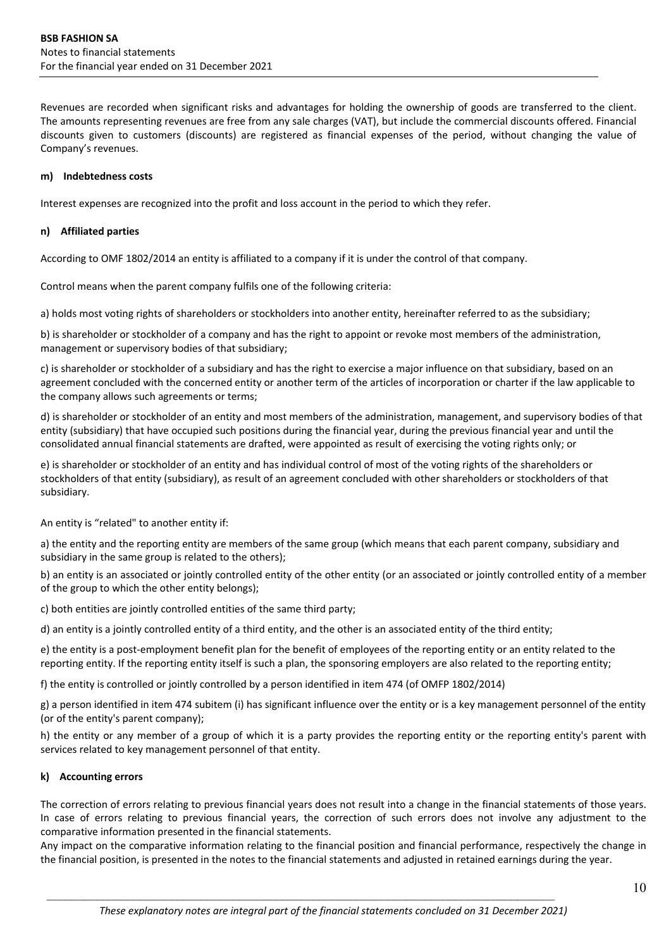Revenues are recorded when significant risks and advantages for holding the ownership of goods are transferred to the client. The amounts representing revenues are free from any sale charges (VAT), but include the commercial discounts offered. Financial discounts given to customers (discounts) are registered as financial expenses of the period, without changing the value of Company's revenues.

### **m) Indebtedness costs**

Interest expenses are recognized into the profit and loss account in the period to which they refer.

#### **n) Affiliated parties**

According to OMF 1802/2014 an entity is affiliated to a company if it is under the control of that company.

Control means when the parent company fulfils one of the following criteria:

a) holds most voting rights of shareholders or stockholders into another entity, hereinafter referred to as the subsidiary;

b) is shareholder or stockholder of a company and has the right to appoint or revoke most members of the administration, management or supervisory bodies of that subsidiary;

c) is shareholder or stockholder of a subsidiary and has the right to exercise a major influence on that subsidiary, based on an agreement concluded with the concerned entity or another term of the articles of incorporation or charter if the law applicable to the company allows such agreements or terms;

d) is shareholder or stockholder of an entity and most members of the administration, management, and supervisory bodies of that entity (subsidiary) that have occupied such positions during the financial year, during the previous financial year and until the consolidated annual financial statements are drafted, were appointed as result of exercising the voting rights only; or

e) is shareholder or stockholder of an entity and has individual control of most of the voting rights of the shareholders or stockholders of that entity (subsidiary), as result of an agreement concluded with other shareholders or stockholders of that subsidiary.

An entity is "related" to another entity if:

a) the entity and the reporting entity are members of the same group (which means that each parent company, subsidiary and subsidiary in the same group is related to the others);

b) an entity is an associated or jointly controlled entity of the other entity (or an associated or jointly controlled entity of a member of the group to which the other entity belongs);

c) both entities are jointly controlled entities of the same third party;

d) an entity is a jointly controlled entity of a third entity, and the other is an associated entity of the third entity;

e) the entity is a post-employment benefit plan for the benefit of employees of the reporting entity or an entity related to the reporting entity. If the reporting entity itself is such a plan, the sponsoring employers are also related to the reporting entity;

f) the entity is controlled or jointly controlled by a person identified in item 474 (of OMFP 1802/2014)

g) a person identified in item 474 subitem (i) has significant influence over the entity or is a key management personnel of the entity (or of the entity's parent company);

h) the entity or any member of a group of which it is a party provides the reporting entity or the reporting entity's parent with services related to key management personnel of that entity.

### **k) Accounting errors**

The correction of errors relating to previous financial years does not result into a change in the financial statements of those years. In case of errors relating to previous financial years, the correction of such errors does not involve any adjustment to the comparative information presented in the financial statements.

Any impact on the comparative information relating to the financial position and financial performance, respectively the change in the financial position, is presented in the notes to the financial statements and adjusted in retained earnings during the year.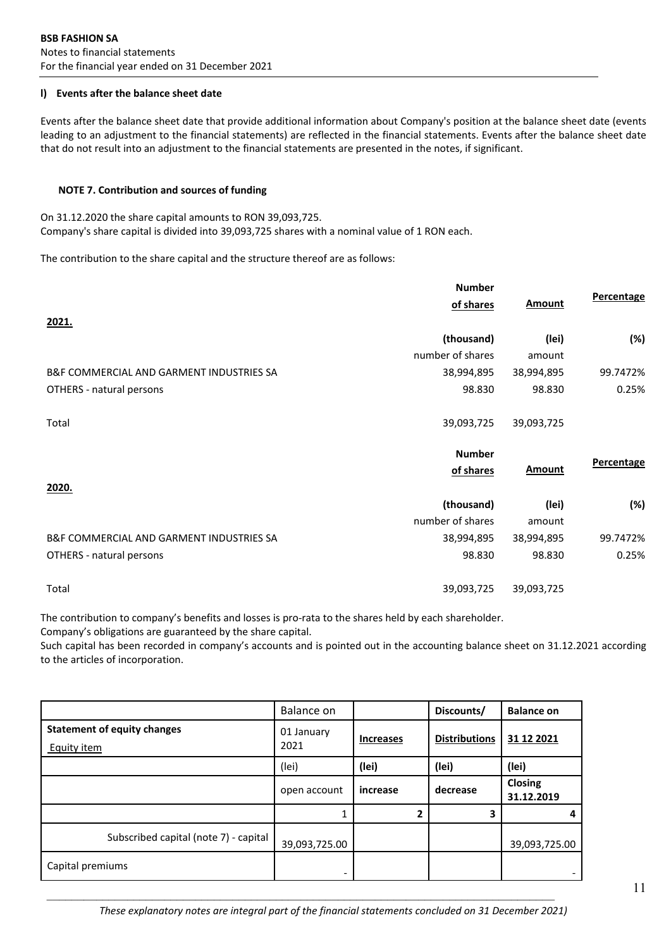# **l) Events after the balance sheet date**

Events after the balance sheet date that provide additional information about Company's position at the balance sheet date (events leading to an adjustment to the financial statements) are reflected in the financial statements. Events after the balance sheet date that do not result into an adjustment to the financial statements are presented in the notes, if significant.

# **NOTE 7. Contribution and sources of funding**

On 31.12.2020 the share capital amounts to RON 39,093,725. Company's share capital is divided into 39,093,725 shares with a nominal value of 1 RON each.

The contribution to the share capital and the structure thereof are as follows:

|                                                     | <b>Number</b>    |               |            |
|-----------------------------------------------------|------------------|---------------|------------|
|                                                     | of shares        | <b>Amount</b> | Percentage |
| 2021.                                               |                  |               |            |
|                                                     | (thousand)       | (lei)         | (%)        |
|                                                     | number of shares | amount        |            |
| B&F COMMERCIAL AND GARMENT INDUSTRIES SA            | 38,994,895       | 38,994,895    | 99.7472%   |
| OTHERS - natural persons                            | 98.830           | 98.830        | 0.25%      |
| Total                                               | 39,093,725       | 39,093,725    |            |
|                                                     |                  |               |            |
|                                                     | <b>Number</b>    |               |            |
|                                                     | of shares        | <b>Amount</b> | Percentage |
| <u>2020.</u>                                        |                  |               |            |
|                                                     | (thousand)       | (lei)         | (%)        |
|                                                     | number of shares | amount        |            |
| <b>B&amp;F COMMERCIAL AND GARMENT INDUSTRIES SA</b> | 38,994,895       | 38,994,895    | 99.7472%   |
| OTHERS - natural persons                            | 98.830           | 98.830        | 0.25%      |

The contribution to company's benefits and losses is pro-rata to the shares held by each shareholder.

Company's obligations are guaranteed by the share capital.

Such capital has been recorded in company's accounts and is pointed out in the accounting balance sheet on 31.12.2021 according to the articles of incorporation.

|                                                          | Balance on         |                  | Discounts/           | <b>Balance on</b>     |
|----------------------------------------------------------|--------------------|------------------|----------------------|-----------------------|
| <b>Statement of equity changes</b><br><b>Equity item</b> | 01 January<br>2021 | <b>Increases</b> | <b>Distributions</b> | 31 12 2021            |
|                                                          | (lei)              | (lei)            | (lei)                | (lei)                 |
|                                                          | open account       | increase         | decrease             | Closing<br>31.12.2019 |
|                                                          |                    | 2                | 3                    |                       |
| Subscribed capital (note 7) - capital                    | 39,093,725.00      |                  |                      | 39,093,725.00         |
| Capital premiums                                         | -                  |                  |                      |                       |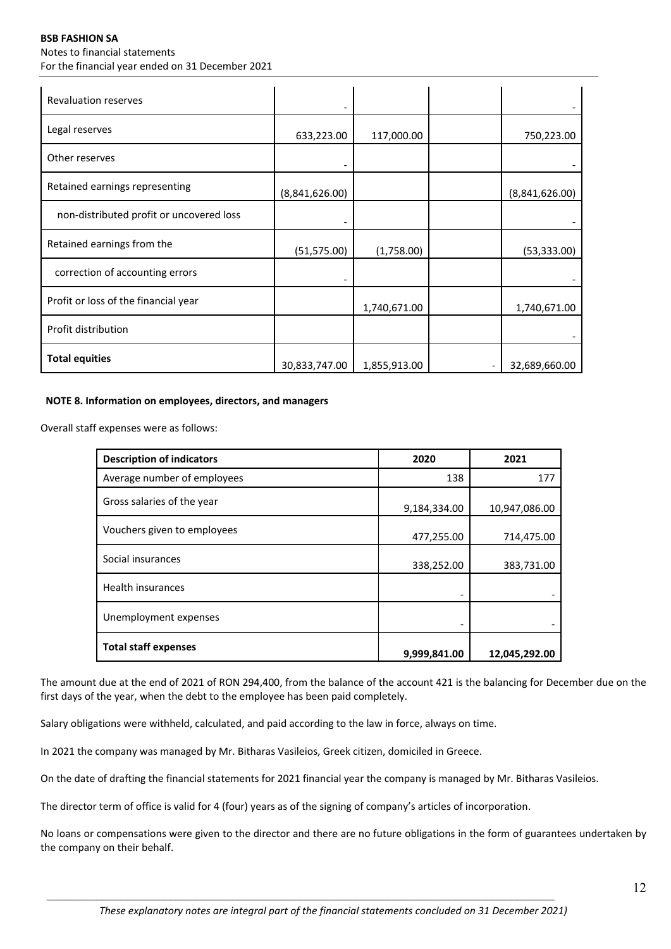### **BSB FASHION SA** Notes to financial statements For the financial year ended on 31 December 2021

| <b>Revaluation reserves</b>              |                |              |                |
|------------------------------------------|----------------|--------------|----------------|
| Legal reserves                           | 633,223.00     | 117,000.00   | 750,223.00     |
| Other reserves                           |                |              |                |
| Retained earnings representing           | (8,841,626.00) |              | (8,841,626.00) |
| non-distributed profit or uncovered loss |                |              |                |
| Retained earnings from the               | (51, 575.00)   | (1,758.00)   | (53, 333.00)   |
| correction of accounting errors          |                |              |                |
| Profit or loss of the financial year     |                | 1,740,671.00 | 1,740,671.00   |
| Profit distribution                      |                |              |                |
| <b>Total equities</b>                    | 30,833,747.00  | 1,855,913.00 | 32,689,660.00  |

# **NOTE 8. Information on employees, directors, and managers**

Overall staff expenses were as follows:

| <b>Description of indicators</b> | 2020         | 2021          |
|----------------------------------|--------------|---------------|
| Average number of employees      | 138          | 177           |
| Gross salaries of the year       | 9,184,334.00 | 10,947,086.00 |
| Vouchers given to employees      | 477,255.00   | 714,475.00    |
| Social insurances                | 338,252.00   | 383,731.00    |
| <b>Health insurances</b>         |              |               |
| Unemployment expenses            |              |               |
| <b>Total staff expenses</b>      | 9,999,841.00 | 12,045,292.00 |

The amount due at the end of 2021 of RON 294,400, from the balance of the account 421 is the balancing for December due on the first days of the year, when the debt to the employee has been paid completely.

Salary obligations were withheld, calculated, and paid according to the law in force, always on time.

In 2021 the company was managed by Mr. Bitharas Vasileios, Greek citizen, domiciled in Greece.

On the date of drafting the financial statements for 2021 financial year the company is managed by Mr. Bitharas Vasileios.

The director term of office is valid for 4 (four) years as of the signing of company's articles of incorporation.

No loans or compensations were given to the director and there are no future obligations in the form of guarantees undertaken by the company on their behalf.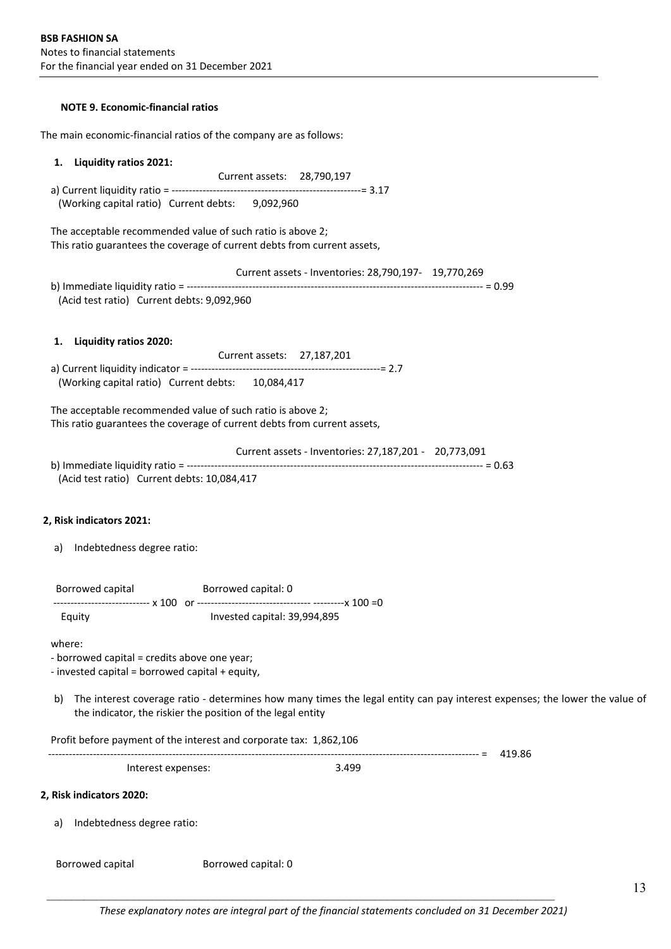# **NOTE 9. Economic‐financial ratios**

The main economic-financial ratios of the company are as follows:

| Liquidity ratios 2021:<br>1.                                                                              |                                                                                                                                                                        |        |
|-----------------------------------------------------------------------------------------------------------|------------------------------------------------------------------------------------------------------------------------------------------------------------------------|--------|
| (Working capital ratio) Current debts: 9,092,960                                                          | Current assets: 28,790,197                                                                                                                                             |        |
| The acceptable recommended value of such ratio is above 2;                                                | This ratio guarantees the coverage of current debts from current assets,                                                                                               |        |
| (Acid test ratio) Current debts: 9,092,960                                                                | Current assets - Inventories: 28,790,197- 19,770,269                                                                                                                   |        |
| <b>Liquidity ratios 2020:</b><br>1.<br>(Working capital ratio) Current debts: 10,084,417                  | Current assets: 27,187,201                                                                                                                                             |        |
| The acceptable recommended value of such ratio is above 2;                                                | This ratio guarantees the coverage of current debts from current assets,                                                                                               |        |
| (Acid test ratio) Current debts: 10,084,417                                                               | Current assets - Inventories: 27,187,201 - 20,773,091                                                                                                                  |        |
| 2, Risk indicators 2021:<br>Indebtedness degree ratio:<br>a)                                              |                                                                                                                                                                        |        |
| Borrowed capital                                                                                          | Borrowed capital: 0                                                                                                                                                    |        |
| Equity                                                                                                    | Invested capital: 39,994,895                                                                                                                                           |        |
| where:<br>- borrowed capital = credits above one year;<br>- invested capital = borrowed capital + equity, |                                                                                                                                                                        |        |
| b)                                                                                                        | The interest coverage ratio - determines how many times the legal entity can pay interest expenses; the<br>the indicator, the riskier the position of the legal entity |        |
|                                                                                                           | Profit before payment of the interest and corporate tax: 1,862,106                                                                                                     |        |
| Interest expenses:                                                                                        | 3.499                                                                                                                                                                  | 419.86 |
| 2, Risk indicators 2020:                                                                                  |                                                                                                                                                                        |        |
| Indebtedness degree ratio:<br>a)                                                                          |                                                                                                                                                                        |        |
| Borrowed capital                                                                                          | Borrowed capital: 0                                                                                                                                                    |        |

lower the value of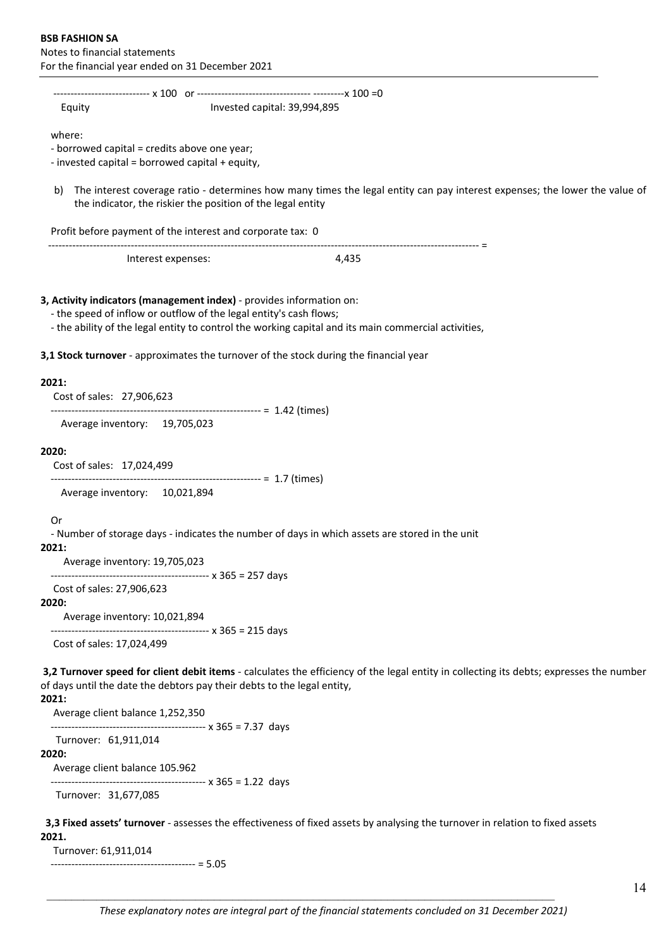‐‐‐‐‐‐‐‐‐‐‐‐‐‐‐‐‐‐‐‐‐‐‐‐‐‐‐‐ x 100 or ‐‐‐‐‐‐‐‐‐‐‐‐‐‐‐‐‐‐‐‐‐‐‐‐‐‐‐‐‐‐‐‐‐ ‐‐‐‐‐‐‐‐‐x 100 =0 Equity **Equity Equity Equity Equity Equity Equity Equide**  where: ‐ borrowed capital = credits above one year; ‐ invested capital = borrowed capital + equity, b) The interest coverage ratio - determines how many times the legal entity can pay interest expenses; the lower the value of the indicator, the riskier the position of the legal entity Profit before payment of the interest and corporate tax: 0 ‐‐‐‐‐‐‐‐‐‐‐‐‐‐‐‐‐‐‐‐‐‐‐‐‐‐‐‐‐‐‐‐‐‐‐‐‐‐‐‐‐‐‐‐‐‐‐‐‐‐‐‐‐‐‐‐‐‐‐‐‐‐‐‐‐‐‐‐‐‐‐‐‐‐‐‐‐‐‐‐‐‐‐‐‐‐‐‐‐‐‐‐‐‐‐‐‐‐‐‐‐‐‐‐‐‐‐‐‐‐‐‐‐‐‐‐‐‐‐‐‐‐‐‐‐ = Interest expenses:  $4,435$ **3, Activity indicators (management index)** ‐ provides information on: ‐ the speed of inflow or outflow of the legal entity's cash flows; ‐ the ability of the legal entity to control the working capital and its main commercial activities, **3,1 Stock turnover** ‐ approximates the turnover of the stock during the financial year

#### **2021:**

Cost of sales: 27,906,623

‐‐‐‐‐‐‐‐‐‐‐‐‐‐‐‐‐‐‐‐‐‐‐‐‐‐‐‐‐‐‐‐‐‐‐‐‐‐‐‐‐‐‐‐‐‐‐‐‐‐‐‐‐‐‐‐‐‐‐‐‐ = 1.42 (times)

Average inventory: 19,705,023

#### **2020:**

Cost of sales: 17,024,499

‐‐‐‐‐‐‐‐‐‐‐‐‐‐‐‐‐‐‐‐‐‐‐‐‐‐‐‐‐‐‐‐‐‐‐‐‐‐‐‐‐‐‐‐‐‐‐‐‐‐‐‐‐‐‐‐‐‐‐‐‐ = 1.7 (times)

Average inventory: 10,021,894

#### Or

‐ Number of storage days ‐ indicates the number of days in which assets are stored in the unit

**2021:**

Average inventory: 19,705,023

‐‐‐‐‐‐‐‐‐‐‐‐‐‐‐‐‐‐‐‐‐‐‐‐‐‐‐‐‐‐‐‐‐‐‐‐‐‐‐‐‐‐‐‐‐‐ x 365 = 257 days

#### Cost of sales: 27,906,623 **2020:**

Average inventory: 10,021,894

‐‐‐‐‐‐‐‐‐‐‐‐‐‐‐‐‐‐‐‐‐‐‐‐‐‐‐‐‐‐‐‐‐‐‐‐‐‐‐‐‐‐‐‐‐‐ x 365 = 215 days

Cost of sales: 17,024,499

**3,2 Turnover speed for client debit items** ‐ calculates the efficiency of the legal entity in collecting its debts; expresses the number of days until the date the debtors pay their debts to the legal entity,

# **2021:**

 Average client balance 1,252,350 ‐‐‐‐‐‐‐‐‐‐‐‐‐‐‐‐‐‐‐‐‐‐‐‐‐‐‐‐‐‐‐‐‐‐‐‐‐‐‐‐‐‐‐‐‐ x 365 = 7.37 days

Turnover: 61,911,014

#### **2020:**

Average client balance 105.962

‐‐‐‐‐‐‐‐‐‐‐‐‐‐‐‐‐‐‐‐‐‐‐‐‐‐‐‐‐‐‐‐‐‐‐‐‐‐‐‐‐‐‐‐‐ x 365 = 1.22 days

Turnover: 31,677,085

 **3,3 Fixed assets' turnover** ‐ assesses the effectiveness of fixed assets by analysing the turnover in relation to fixed assets **2021.**

Turnover: 61,911,014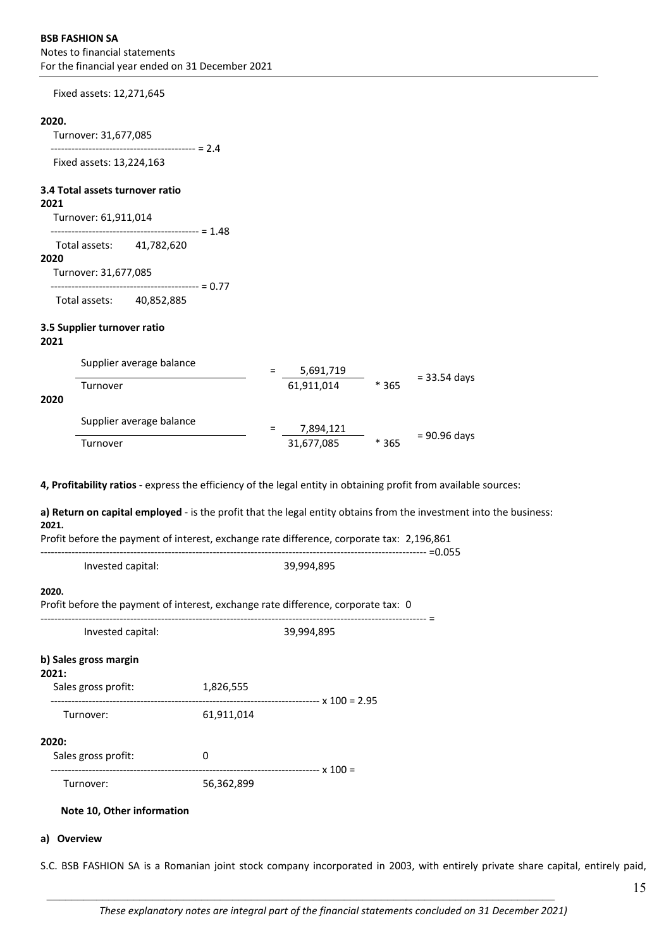Fixed assets: 12,271,645

#### **2020.**

 Turnover: 31,677,085 -------------------------------------- = 2.4

Fixed assets: 13,224,163

#### **3.4 Total assets turnover ratio**

#### **2021**

Turnover: 61,911,014

 $\cdots$  = 1.48 Total assets: 41,782,620

#### **2020**

Turnover: 31,677,085

‐‐‐‐‐‐‐‐‐‐‐‐‐‐‐‐‐‐‐‐‐‐‐‐‐‐‐‐‐‐‐‐‐‐‐‐‐‐‐‐‐‐‐ = 0.77

Total assets: 40,852,885

# **3.5 Supplier turnover ratio**

**2021**

|      | Supplier average balance | 5,691,719  |        |              |
|------|--------------------------|------------|--------|--------------|
| 2020 | Turnover                 | 61,911,014 | $*365$ | = 33.54 days |
|      | Supplier average balance | 7,894,121  |        |              |
|      | Turnover                 | 31,677,085 | * 365  | = 90.96 days |

**4, Profitability ratios** ‐ express the efficiency of the legal entity in obtaining profit from available sources:

**a) Return on capital employed** ‐ is the profit that the legal entity obtains from the investment into the business: **2021.**

Profit before the payment of interest, exchange rate difference, corporate tax: 2,196,861

| Invested capital:                                                                          |            | 39,994,895 |  |
|--------------------------------------------------------------------------------------------|------------|------------|--|
| 2020.<br>Profit before the payment of interest, exchange rate difference, corporate tax: 0 |            |            |  |
| Invested capital:                                                                          |            | 39,994,895 |  |
| b) Sales gross margin<br>2021:<br>Sales gross profit:                                      | 1,826,555  |            |  |
| Turnover:                                                                                  | 61,911,014 |            |  |
| 2020:<br>Sales gross profit:                                                               | 0          |            |  |
| Turnover:                                                                                  | 56,362,899 |            |  |

# **Note 10, Other information**

# **a) Overview**

S.C. BSB FASHION SA is a Romanian joint stock company incorporated in 2003, with entirely private share capital, entirely paid,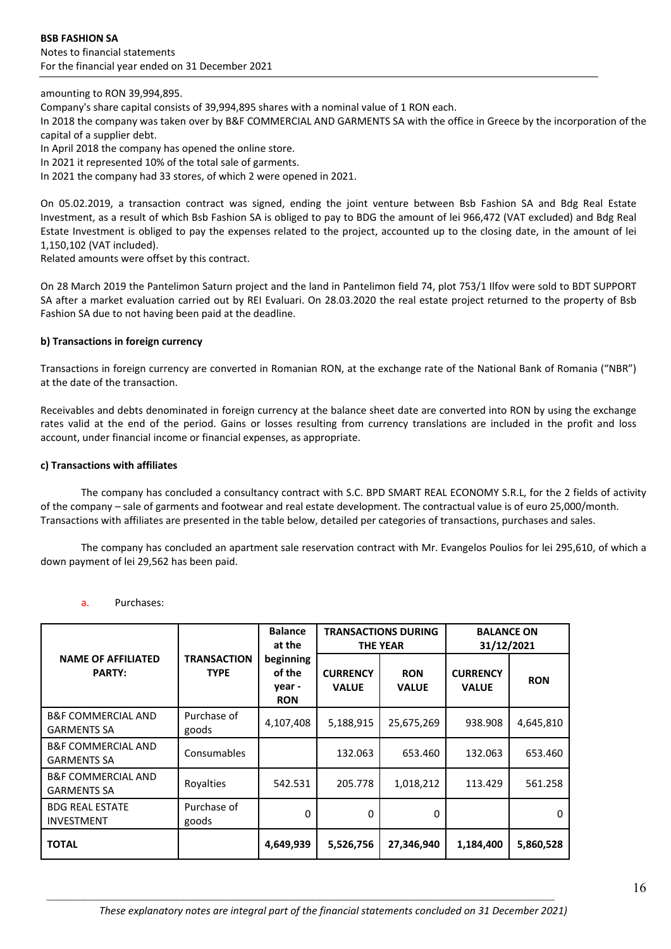amounting to RON 39,994,895.

Company's share capital consists of 39,994,895 shares with a nominal value of 1 RON each.

In 2018 the company was taken over by B&F COMMERCIAL AND GARMENTS SA with the office in Greece by the incorporation of the capital of a supplier debt.

In April 2018 the company has opened the online store.

In 2021 it represented 10% of the total sale of garments.

In 2021 the company had 33 stores, of which 2 were opened in 2021.

On 05.02.2019, a transaction contract was signed, ending the joint venture between Bsb Fashion SA and Bdg Real Estate Investment, as a result of which Bsb Fashion SA is obliged to pay to BDG the amount of lei 966,472 (VAT excluded) and Bdg Real Estate Investment is obliged to pay the expenses related to the project, accounted up to the closing date, in the amount of lei 1,150,102 (VAT included).

Related amounts were offset by this contract.

On 28 March 2019 the Pantelimon Saturn project and the land in Pantelimon field 74, plot 753/1 Ilfov were sold to BDT SUPPORT SA after a market evaluation carried out by REI Evaluari. On 28.03.2020 the real estate project returned to the property of Bsb Fashion SA due to not having been paid at the deadline.

#### **b) Transactions in foreign currency**

Transactions in foreign currency are converted in Romanian RON, at the exchange rate of the National Bank of Romania ("NBR") at the date of the transaction.

Receivables and debts denominated in foreign currency at the balance sheet date are converted into RON by using the exchange rates valid at the end of the period. Gains or losses resulting from currency translations are included in the profit and loss account, under financial income or financial expenses, as appropriate.

#### **c) Transactions with affiliates**

The company has concluded a consultancy contract with S.C. BPD SMART REAL ECONOMY S.R.L, for the 2 fields of activity of the company – sale of garments and footwear and real estate development. The contractual value is of euro 25,000/month. Transactions with affiliates are presented in the table below, detailed per categories of transactions, purchases and sales.

The company has concluded an apartment sale reservation contract with Mr. Evangelos Poulios for lei 295,610, of which a down payment of lei 29,562 has been paid.

#### a. Purchases:

|                                                     | <b>Balance</b><br>at the          |                                             |                                 | <b>TRANSACTIONS DURING</b><br><b>THE YEAR</b> | <b>BALANCE ON</b><br>31/12/2021 |            |
|-----------------------------------------------------|-----------------------------------|---------------------------------------------|---------------------------------|-----------------------------------------------|---------------------------------|------------|
| <b>NAME OF AFFILIATED</b><br><b>PARTY:</b>          | <b>TRANSACTION</b><br><b>TYPE</b> | beginning<br>of the<br>year -<br><b>RON</b> | <b>CURRENCY</b><br><b>VALUE</b> | <b>RON</b><br><b>VALUE</b>                    | <b>CURRENCY</b><br><b>VALUE</b> | <b>RON</b> |
| <b>B&amp;F COMMERCIAL AND</b><br><b>GARMENTS SA</b> | Purchase of<br>goods              | 4,107,408                                   | 5,188,915                       | 25,675,269                                    | 938.908                         | 4,645,810  |
| <b>B&amp;F COMMERCIAL AND</b><br><b>GARMENTS SA</b> | Consumables                       |                                             | 132.063                         | 653.460                                       | 132.063                         | 653.460    |
| <b>B&amp;F COMMERCIAL AND</b><br><b>GARMENTS SA</b> | Royalties                         | 542.531                                     | 205.778                         | 1,018,212                                     | 113.429                         | 561.258    |
| <b>BDG REAL ESTATE</b><br><b>INVESTMENT</b>         | Purchase of<br>goods              | 0                                           | 0                               | $\Omega$                                      |                                 | 0          |
| <b>TOTAL</b>                                        |                                   | 4,649,939                                   | 5,526,756                       | 27,346,940                                    | 1,184,400                       | 5,860,528  |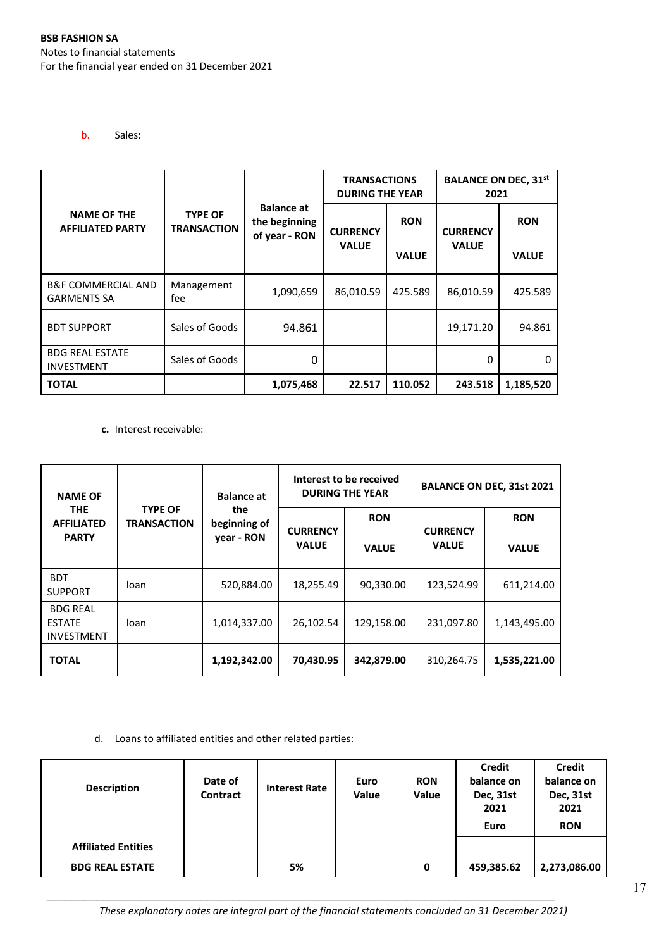b. Sales:

|                                                     | <b>BALANCE ON DEC, 31st</b><br><b>TRANSACTIONS</b><br><b>DURING THE YEAR</b><br>2021 |                                                     |                 |              |                 |              |
|-----------------------------------------------------|--------------------------------------------------------------------------------------|-----------------------------------------------------|-----------------|--------------|-----------------|--------------|
| <b>NAME OF THE</b><br><b>AFFILIATED PARTY</b>       | <b>TYPE OF</b><br><b>TRANSACTION</b>                                                 | <b>Balance at</b><br>the beginning<br>of year - RON | <b>CURRENCY</b> | <b>RON</b>   | <b>CURRENCY</b> | <b>RON</b>   |
|                                                     |                                                                                      |                                                     | <b>VALUE</b>    | <b>VALUE</b> | <b>VALUE</b>    | <b>VALUE</b> |
| <b>B&amp;F COMMERCIAL AND</b><br><b>GARMENTS SA</b> | Management<br>fee                                                                    | 1,090,659                                           | 86,010.59       | 425.589      | 86,010.59       | 425.589      |
| <b>BDT SUPPORT</b>                                  | Sales of Goods                                                                       | 94.861                                              |                 |              | 19,171.20       | 94.861       |
| <b>BDG REAL ESTATE</b><br><b>INVESTMENT</b>         | Sales of Goods                                                                       | 0                                                   |                 |              | 0               | 0            |
| <b>TOTAL</b>                                        |                                                                                      | 1,075,468                                           | 22.517          | 110.052      | 243.518         | 1,185,520    |

**c.** Interest receivable:

| <b>NAME OF</b>                                        |                                      | Interest to be received<br><b>DURING THE YEAR</b><br><b>Balance at</b> |                 |              |                 | <b>BALANCE ON DEC, 31st 2021</b> |
|-------------------------------------------------------|--------------------------------------|------------------------------------------------------------------------|-----------------|--------------|-----------------|----------------------------------|
| <b>THE</b><br><b>AFFILIATED</b>                       | <b>TYPE OF</b><br><b>TRANSACTION</b> | the<br>beginning of                                                    | <b>CURRENCY</b> | <b>RON</b>   | <b>CURRENCY</b> | <b>RON</b>                       |
| <b>PARTY</b>                                          |                                      | year - RON                                                             | <b>VALUE</b>    | <b>VALUE</b> | <b>VALUE</b>    | <b>VALUE</b>                     |
| <b>BDT</b><br><b>SUPPORT</b>                          | loan                                 | 520,884.00                                                             | 18,255.49       | 90,330.00    | 123,524.99      | 611,214.00                       |
| <b>BDG REAL</b><br><b>ESTATE</b><br><b>INVESTMENT</b> | loan                                 | 1,014,337.00                                                           | 26,102.54       | 129,158.00   | 231,097.80      | 1,143,495.00                     |
| <b>TOTAL</b>                                          |                                      | 1,192,342.00                                                           | 70,430.95       | 342,879.00   | 310,264.75      | 1,535,221.00                     |

d. Loans to affiliated entities and other related parties:

| <b>Description</b>         | Date of<br>Contract | <b>Interest Rate</b> | Euro<br>Value | <b>RON</b><br>Value | Credit<br>balance on<br>Dec, 31st<br>2021 | <b>Credit</b><br>balance on<br>Dec, 31st<br>2021 |
|----------------------------|---------------------|----------------------|---------------|---------------------|-------------------------------------------|--------------------------------------------------|
|                            |                     |                      |               |                     | Euro                                      | <b>RON</b>                                       |
| <b>Affiliated Entities</b> |                     |                      |               |                     |                                           |                                                  |
| <b>BDG REAL ESTATE</b>     |                     | 5%                   |               | 0                   | 459,385.62                                | 2,273,086.00                                     |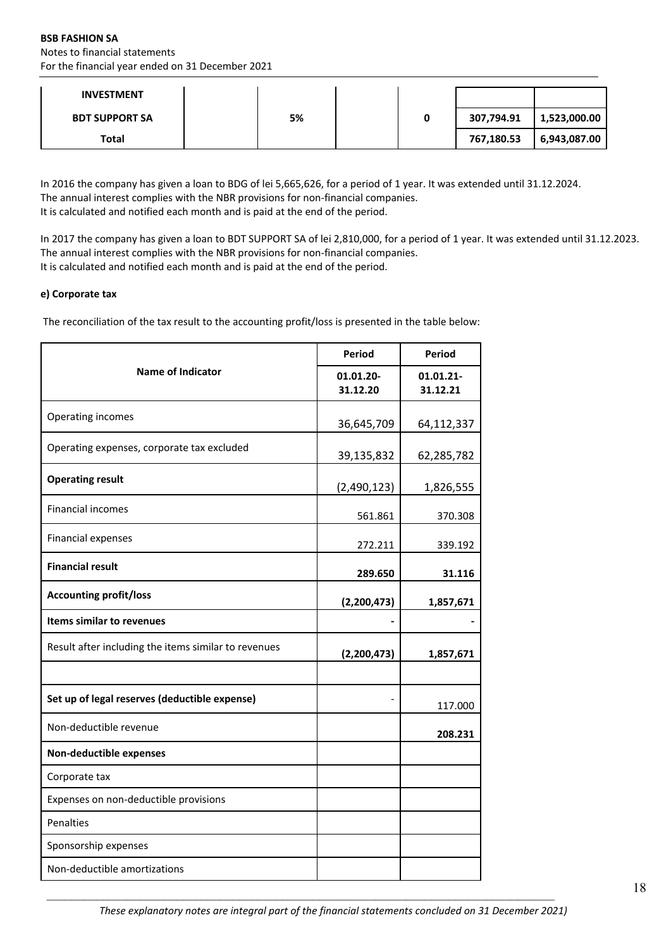**BSB FASHION SA** Notes to financial statements For the financial year ended on 31 December 2021

| <b>INVESTMENT</b>     |    |  |            |              |
|-----------------------|----|--|------------|--------------|
| <b>BDT SUPPORT SA</b> | 5% |  | 307,794.91 | 1,523,000.00 |
| Total                 |    |  | 767,180.53 | 6,943,087.00 |

In 2016 the company has given a loan to BDG of lei 5,665,626, for a period of 1 year. It was extended until 31.12.2024. The annual interest complies with the NBR provisions for non-financial companies. It is calculated and notified each month and is paid at the end of the period.

In 2017 the company has given a loan to BDT SUPPORT SA of lei 2,810,000, for a period of 1 year. It was extended until 31.12.2023. The annual interest complies with the NBR provisions for non-financial companies. It is calculated and notified each month and is paid at the end of the period.

### **e) Corporate tax**

The reconciliation of the tax result to the accounting profit/loss is presented in the table below:

|                                                      | Period                | Period                |  |
|------------------------------------------------------|-----------------------|-----------------------|--|
| <b>Name of Indicator</b>                             | 01.01.20-<br>31.12.20 | 01.01.21-<br>31.12.21 |  |
| Operating incomes                                    | 36,645,709            | 64,112,337            |  |
| Operating expenses, corporate tax excluded           | 39,135,832            | 62,285,782            |  |
| <b>Operating result</b>                              | (2,490,123)           | 1,826,555             |  |
| <b>Financial incomes</b>                             | 561.861               | 370.308               |  |
| <b>Financial expenses</b>                            | 272.211               | 339.192               |  |
| <b>Financial result</b>                              | 289.650               | 31.116                |  |
| <b>Accounting profit/loss</b>                        | (2, 200, 473)         | 1,857,671             |  |
| Items similar to revenues                            |                       |                       |  |
| Result after including the items similar to revenues | (2, 200, 473)         | 1,857,671             |  |
| Set up of legal reserves (deductible expense)        |                       | 117.000               |  |
| Non-deductible revenue                               |                       | 208.231               |  |
| Non-deductible expenses                              |                       |                       |  |
| Corporate tax                                        |                       |                       |  |
| Expenses on non-deductible provisions                |                       |                       |  |
| Penalties                                            |                       |                       |  |
| Sponsorship expenses                                 |                       |                       |  |
| Non-deductible amortizations                         |                       |                       |  |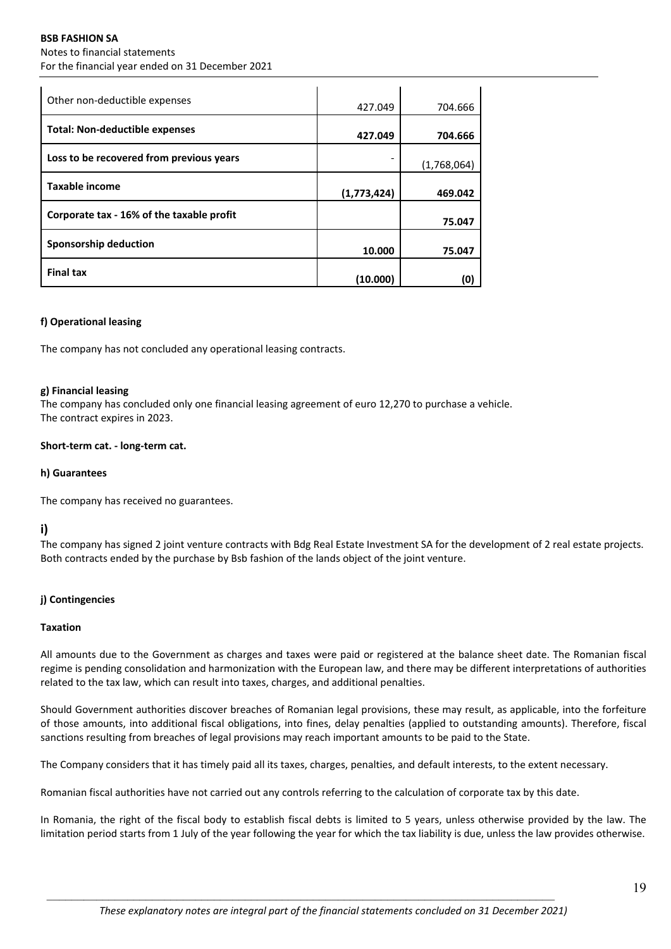### **BSB FASHION SA** Notes to financial statements For the financial year ended on 31 December 2021

| Other non-deductible expenses             | 427.049     | 704.666     |
|-------------------------------------------|-------------|-------------|
| Total: Non-deductible expenses            | 427.049     | 704.666     |
| Loss to be recovered from previous years  |             | (1,768,064) |
| <b>Taxable income</b>                     | (1,773,424) | 469.042     |
| Corporate tax - 16% of the taxable profit |             | 75.047      |
| Sponsorship deduction                     | 10.000      | 75.047      |
| <b>Final tax</b>                          | (10.000)    | (O          |

### **f) Operational leasing**

The company has not concluded any operational leasing contracts.

### **g) Financial leasing**

The company has concluded only one financial leasing agreement of euro 12,270 to purchase a vehicle. The contract expires in 2023.

### **Short‐term cat. ‐ long‐term cat.**

#### **h) Guarantees**

The company has received no guarantees.

# **i)**

The company has signed 2 joint venture contracts with Bdg Real Estate Investment SA for the development of 2 real estate projects. Both contracts ended by the purchase by Bsb fashion of the lands object of the joint venture.

### **j) Contingencies**

### **Taxation**

All amounts due to the Government as charges and taxes were paid or registered at the balance sheet date. The Romanian fiscal regime is pending consolidation and harmonization with the European law, and there may be different interpretations of authorities related to the tax law, which can result into taxes, charges, and additional penalties.

Should Government authorities discover breaches of Romanian legal provisions, these may result, as applicable, into the forfeiture of those amounts, into additional fiscal obligations, into fines, delay penalties (applied to outstanding amounts). Therefore, fiscal sanctions resulting from breaches of legal provisions may reach important amounts to be paid to the State.

The Company considers that it has timely paid all its taxes, charges, penalties, and default interests, to the extent necessary.

Romanian fiscal authorities have not carried out any controls referring to the calculation of corporate tax by this date.

In Romania, the right of the fiscal body to establish fiscal debts is limited to 5 years, unless otherwise provided by the law. The limitation period starts from 1 July of the year following the year for which the tax liability is due, unless the law provides otherwise.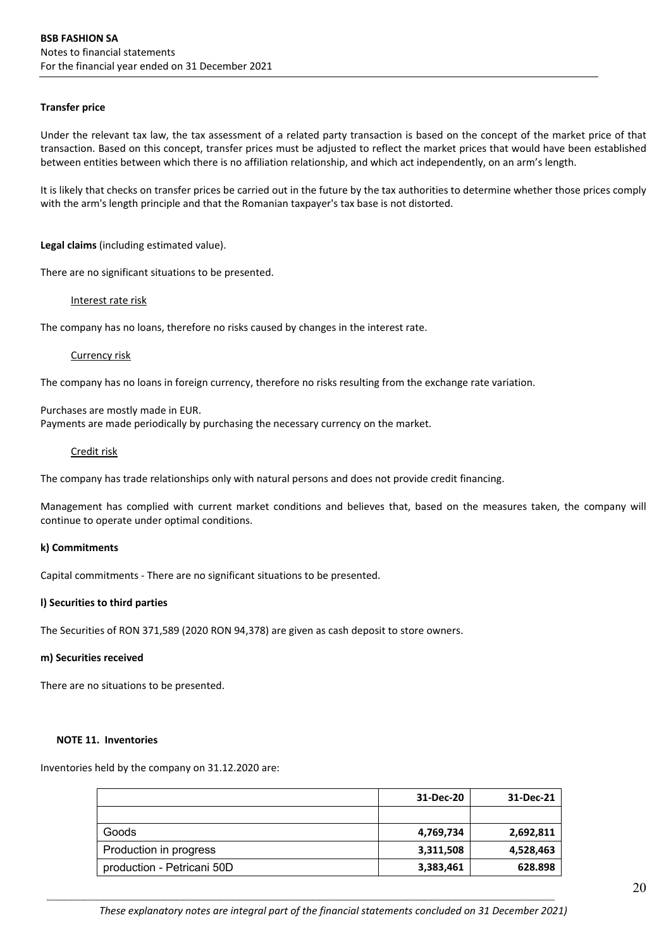#### **Transfer price**

Under the relevant tax law, the tax assessment of a related party transaction is based on the concept of the market price of that transaction. Based on this concept, transfer prices must be adjusted to reflect the market prices that would have been established between entities between which there is no affiliation relationship, and which act independently, on an arm's length.

It is likely that checks on transfer prices be carried out in the future by the tax authorities to determine whether those prices comply with the arm's length principle and that the Romanian taxpayer's tax base is not distorted.

#### **Legal claims** (including estimated value).

There are no significant situations to be presented.

#### Interest rate risk

The company has no loans, therefore no risks caused by changes in the interest rate.

#### Currency risk

The company has no loans in foreign currency, therefore no risks resulting from the exchange rate variation.

Purchases are mostly made in EUR.

Payments are made periodically by purchasing the necessary currency on the market.

#### Credit risk

The company has trade relationships only with natural persons and does not provide credit financing.

Management has complied with current market conditions and believes that, based on the measures taken, the company will continue to operate under optimal conditions.

### **k) Commitments**

Capital commitments ‐ There are no significant situations to be presented.

### **l) Securities to third parties**

The Securities of RON 371,589 (2020 RON 94,378) are given as cash deposit to store owners.

#### **m) Securities received**

There are no situations to be presented.

#### **NOTE 11. Inventories**

Inventories held by the company on 31.12.2020 are:

|                            | 31-Dec-20 | 31-Dec-21 |
|----------------------------|-----------|-----------|
|                            |           |           |
| Goods                      | 4,769,734 | 2,692,811 |
| Production in progress     | 3,311,508 | 4,528,463 |
| production - Petricani 50D | 3,383,461 | 628.898   |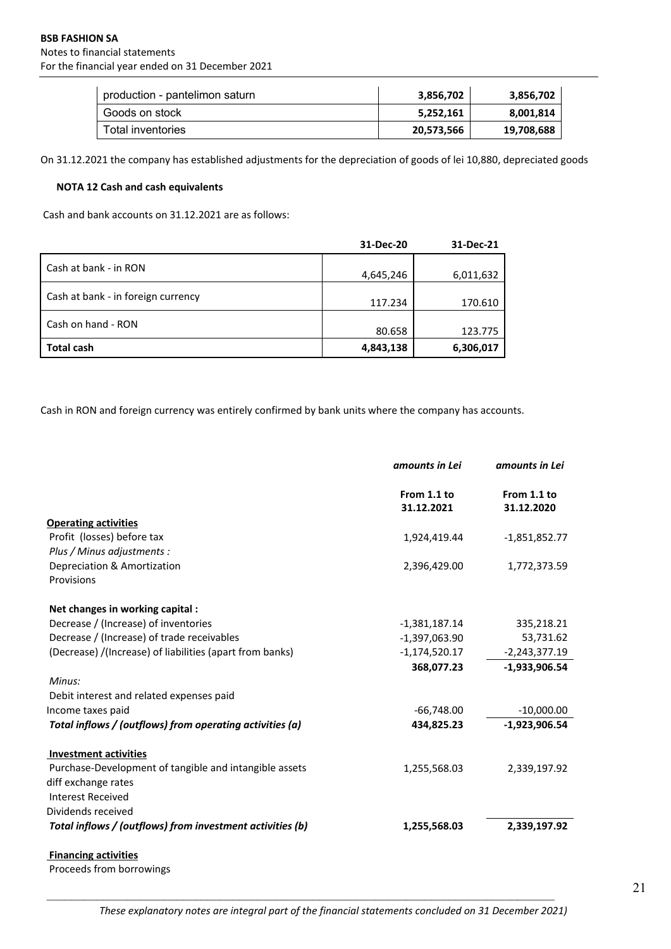| production - pantelimon saturn | 3.856.702  | 3,856,702  |
|--------------------------------|------------|------------|
| Goods on stock                 | 5.252.161  | 8,001,814  |
| Total inventories              | 20,573,566 | 19,708,688 |

On 31.12.2021 the company has established adjustments for the depreciation of goods of lei 10,880, depreciated goods

### **NOTA 12 Cash and cash equivalents**

Cash and bank accounts on 31.12.2021 are as follows:

|                                    | 31-Dec-20 | 31-Dec-21 |
|------------------------------------|-----------|-----------|
| Cash at bank - in RON              | 4,645,246 | 6,011,632 |
| Cash at bank - in foreign currency | 117.234   | 170.610   |
| Cash on hand - RON                 | 80.658    | 123.775   |
| <b>Total cash</b>                  | 4,843,138 | 6,306,017 |

Cash in RON and foreign currency was entirely confirmed by bank units where the company has accounts.

|                                                           | amounts in Lei            | amounts in Lei            |
|-----------------------------------------------------------|---------------------------|---------------------------|
|                                                           | From 1.1 to<br>31.12.2021 | From 1.1 to<br>31.12.2020 |
| <b>Operating activities</b>                               |                           |                           |
| Profit (losses) before tax                                | 1,924,419.44              | $-1,851,852.77$           |
| Plus / Minus adjustments :                                |                           |                           |
| Depreciation & Amortization                               | 2,396,429.00              | 1,772,373.59              |
| Provisions                                                |                           |                           |
| Net changes in working capital :                          |                           |                           |
| Decrease / (Increase) of inventories                      | $-1,381,187.14$           | 335,218.21                |
| Decrease / (Increase) of trade receivables                | $-1,397,063.90$           | 53,731.62                 |
| (Decrease) /(Increase) of liabilities (apart from banks)  | $-1,174,520.17$           | $-2,243,377.19$           |
|                                                           | 368,077.23                | $-1,933,906.54$           |
| Minus:                                                    |                           |                           |
| Debit interest and related expenses paid                  |                           |                           |
| Income taxes paid                                         | $-66,748.00$              | $-10,000.00$              |
| Total inflows / (outflows) from operating activities (a)  | 434,825.23                | $-1,923,906.54$           |
| <b>Investment activities</b>                              |                           |                           |
| Purchase-Development of tangible and intangible assets    | 1,255,568.03              | 2,339,197.92              |
| diff exchange rates                                       |                           |                           |
| <b>Interest Received</b>                                  |                           |                           |
| Dividends received                                        |                           |                           |
| Total inflows / (outflows) from investment activities (b) | 1,255,568.03              | 2,339,197.92              |
| <b>Financing activities</b>                               |                           |                           |

Proceeds from borrowings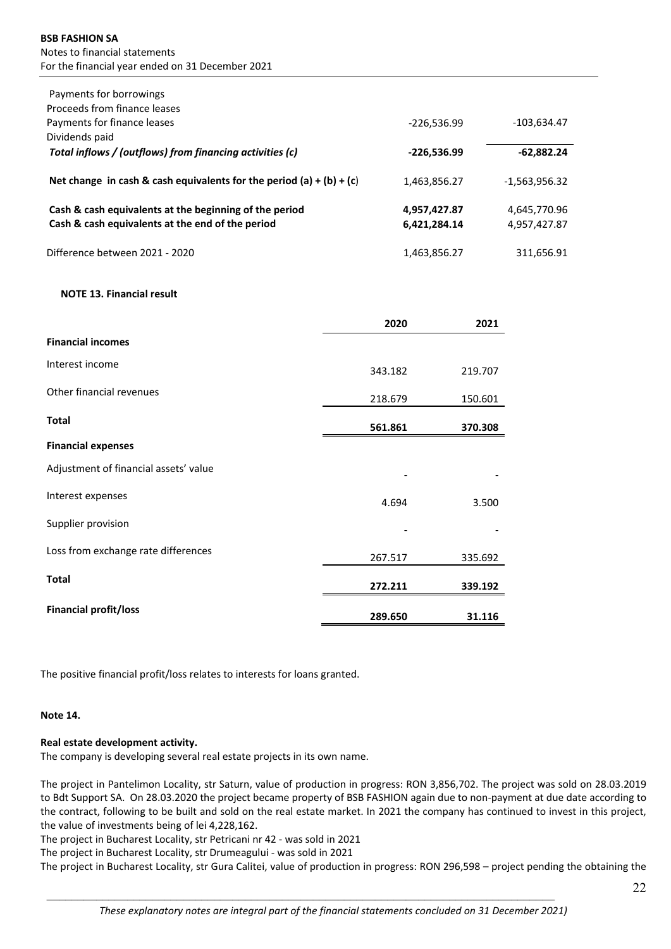| Payments for borrowings                                              |               |                 |
|----------------------------------------------------------------------|---------------|-----------------|
| Proceeds from finance leases                                         |               |                 |
| Payments for finance leases                                          | $-226.536.99$ | $-103,634.47$   |
| Dividends paid                                                       |               |                 |
| Total inflows / (outflows) from financing activities (c)             | $-226,536.99$ | $-62,882.24$    |
| Net change in cash & cash equivalents for the period (a) + (b) + (c) | 1,463,856.27  | $-1.563.956.32$ |
| Cash & cash equivalents at the beginning of the period               | 4,957,427.87  | 4,645,770.96    |
| Cash & cash equivalents at the end of the period                     | 6,421,284.14  | 4,957,427.87    |
| Difference between 2021 - 2020                                       | 1,463,856.27  | 311,656.91      |

#### **NOTE 13. Financial result**

|                                       | 2020    | 2021    |
|---------------------------------------|---------|---------|
| <b>Financial incomes</b>              |         |         |
| Interest income                       | 343.182 | 219.707 |
| Other financial revenues              | 218.679 | 150.601 |
| <b>Total</b>                          | 561.861 | 370.308 |
| <b>Financial expenses</b>             |         |         |
| Adjustment of financial assets' value |         |         |
| Interest expenses                     | 4.694   | 3.500   |
| Supplier provision                    |         |         |
| Loss from exchange rate differences   | 267.517 | 335.692 |
| <b>Total</b>                          | 272.211 | 339.192 |
| <b>Financial profit/loss</b>          | 289.650 | 31.116  |

The positive financial profit/loss relates to interests for loans granted.

#### **Note 14.**

### **Real estate development activity.**

The company is developing several real estate projects in its own name.

The project in Pantelimon Locality, str Saturn, value of production in progress: RON 3,856,702. The project was sold on 28.03.2019 to Bdt Support SA. On 28.03.2020 the project became property of BSB FASHION again due to non‐payment at due date according to the contract, following to be built and sold on the real estate market. In 2021 the company has continued to invest in this project, the value of investments being of lei 4,228,162.

The project in Bucharest Locality, str Petricani nr 42 ‐ was sold in 2021

The project in Bucharest Locality, str Drumeagului ‐ was sold in 2021

The project in Bucharest Locality, str Gura Calitei, value of production in progress: RON 296,598 – project pending the obtaining the